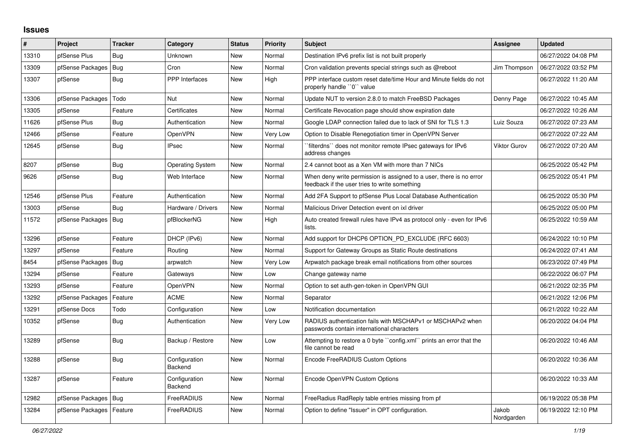## **Issues**

| #     | <b>Project</b>   | <b>Tracker</b> | Category                 | <b>Status</b> | <b>Priority</b> | <b>Subject</b>                                                                                                       | Assignee            | <b>Updated</b>      |
|-------|------------------|----------------|--------------------------|---------------|-----------------|----------------------------------------------------------------------------------------------------------------------|---------------------|---------------------|
| 13310 | pfSense Plus     | Bug            | Unknown                  | New           | Normal          | Destination IPv6 prefix list is not built properly                                                                   |                     | 06/27/2022 04:08 PM |
| 13309 | pfSense Packages | Bug            | Cron                     | New           | Normal          | Cron validation prevents special strings such as @reboot                                                             | Jim Thompson        | 06/27/2022 03:52 PM |
| 13307 | pfSense          | <b>Bug</b>     | PPP Interfaces           | New           | High            | PPP interface custom reset date/time Hour and Minute fields do not<br>properly handle "0" value                      |                     | 06/27/2022 11:20 AM |
| 13306 | pfSense Packages | Todo           | Nut                      | New           | Normal          | Update NUT to version 2.8.0 to match FreeBSD Packages                                                                | Denny Page          | 06/27/2022 10:45 AM |
| 13305 | pfSense          | Feature        | Certificates             | New           | Normal          | Certificate Revocation page should show expiration date                                                              |                     | 06/27/2022 10:26 AM |
| 11626 | pfSense Plus     | Bug            | Authentication           | New           | Normal          | Google LDAP connection failed due to lack of SNI for TLS 1.3                                                         | Luiz Souza          | 06/27/2022 07:23 AM |
| 12466 | pfSense          | Feature        | <b>OpenVPN</b>           | New           | Very Low        | Option to Disable Renegotiation timer in OpenVPN Server                                                              |                     | 06/27/2022 07:22 AM |
| 12645 | pfSense          | <b>Bug</b>     | <b>IPsec</b>             | <b>New</b>    | Normal          | `filterdns`` does not monitor remote IPsec gateways for IPv6<br>address changes                                      | <b>Viktor Gurov</b> | 06/27/2022 07:20 AM |
| 8207  | pfSense          | Bug            | <b>Operating System</b>  | New           | Normal          | 2.4 cannot boot as a Xen VM with more than 7 NICs                                                                    |                     | 06/25/2022 05:42 PM |
| 9626  | pfSense          | Bug            | Web Interface            | New           | Normal          | When deny write permission is assigned to a user, there is no error<br>feedback if the user tries to write something |                     | 06/25/2022 05:41 PM |
| 12546 | pfSense Plus     | Feature        | Authentication           | New           | Normal          | Add 2FA Support to pfSense Plus Local Database Authentication                                                        |                     | 06/25/2022 05:30 PM |
| 13003 | pfSense          | Bug            | Hardware / Drivers       | New           | Normal          | Malicious Driver Detection event on ixl driver                                                                       |                     | 06/25/2022 05:00 PM |
| 11572 | pfSense Packages | Bug            | pfBlockerNG              | New           | High            | Auto created firewall rules have IPv4 as protocol only - even for IPv6<br>lists.                                     |                     | 06/25/2022 10:59 AM |
| 13296 | pfSense          | Feature        | DHCP (IPv6)              | New           | Normal          | Add support for DHCP6 OPTION PD EXCLUDE (RFC 6603)                                                                   |                     | 06/24/2022 10:10 PM |
| 13297 | pfSense          | Feature        | Routing                  | New           | Normal          | Support for Gateway Groups as Static Route destinations                                                              |                     | 06/24/2022 07:41 AM |
| 8454  | pfSense Packages | Bug            | arpwatch                 | New           | Very Low        | Arpwatch package break email notifications from other sources                                                        |                     | 06/23/2022 07:49 PM |
| 13294 | pfSense          | Feature        | Gateways                 | New           | Low             | Change gateway name                                                                                                  |                     | 06/22/2022 06:07 PM |
| 13293 | pfSense          | Feature        | OpenVPN                  | New           | Normal          | Option to set auth-gen-token in OpenVPN GUI                                                                          |                     | 06/21/2022 02:35 PM |
| 13292 | pfSense Packages | Feature        | <b>ACME</b>              | New           | Normal          | Separator                                                                                                            |                     | 06/21/2022 12:06 PM |
| 13291 | pfSense Docs     | Todo           | Configuration            | New           | Low             | Notification documentation                                                                                           |                     | 06/21/2022 10:22 AM |
| 10352 | pfSense          | Bug            | Authentication           | New           | Very Low        | RADIUS authentication fails with MSCHAPv1 or MSCHAPv2 when<br>passwords contain international characters             |                     | 06/20/2022 04:04 PM |
| 13289 | pfSense          | Bug            | Backup / Restore         | New           | Low             | Attempting to restore a 0 byte "config.xml" prints an error that the<br>file cannot be read                          |                     | 06/20/2022 10:46 AM |
| 13288 | pfSense          | Bug            | Configuration<br>Backend | <b>New</b>    | Normal          | Encode FreeRADIUS Custom Options                                                                                     |                     | 06/20/2022 10:36 AM |
| 13287 | pfSense          | Feature        | Configuration<br>Backend | <b>New</b>    | Normal          | Encode OpenVPN Custom Options                                                                                        |                     | 06/20/2022 10:33 AM |
| 12982 | pfSense Packages | Bug            | FreeRADIUS               | New           | Normal          | FreeRadius RadReply table entries missing from pf                                                                    |                     | 06/19/2022 05:38 PM |
| 13284 | pfSense Packages | Feature        | FreeRADIUS               | <b>New</b>    | Normal          | Option to define "Issuer" in OPT configuration.                                                                      | Jakob<br>Nordgarden | 06/19/2022 12:10 PM |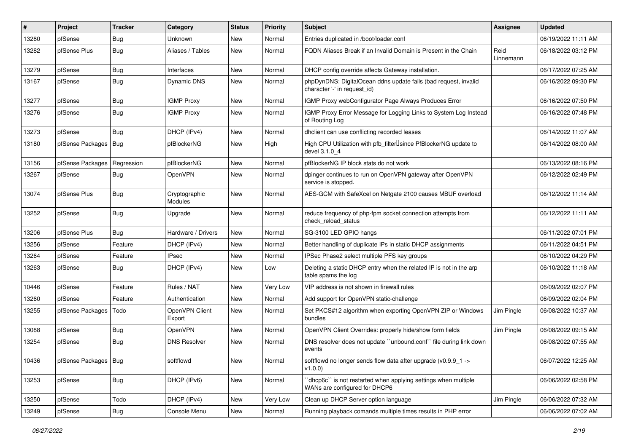| $\sharp$ | Project                | <b>Tracker</b> | Category                        | <b>Status</b> | <b>Priority</b> | <b>Subject</b>                                                                                   | <b>Assignee</b>   | <b>Updated</b>      |
|----------|------------------------|----------------|---------------------------------|---------------|-----------------|--------------------------------------------------------------------------------------------------|-------------------|---------------------|
| 13280    | pfSense                | <b>Bug</b>     | Unknown                         | New           | Normal          | Entries duplicated in /boot/loader.conf                                                          |                   | 06/19/2022 11:11 AM |
| 13282    | pfSense Plus           | Bug            | Aliases / Tables                | New           | Normal          | FQDN Aliases Break if an Invalid Domain is Present in the Chain                                  | Reid<br>Linnemann | 06/18/2022 03:12 PM |
| 13279    | pfSense                | <b>Bug</b>     | Interfaces                      | New           | Normal          | DHCP config override affects Gateway installation.                                               |                   | 06/17/2022 07:25 AM |
| 13167    | pfSense                | Bug            | <b>Dynamic DNS</b>              | New           | Normal          | phpDynDNS: DigitalOcean ddns update fails (bad request, invalid<br>character '-' in request_id)  |                   | 06/16/2022 09:30 PM |
| 13277    | pfSense                | Bug            | <b>IGMP Proxy</b>               | New           | Normal          | IGMP Proxy webConfigurator Page Always Produces Error                                            |                   | 06/16/2022 07:50 PM |
| 13276    | pfSense                | Bug            | <b>IGMP Proxy</b>               | New           | Normal          | IGMP Proxy Error Message for Logging Links to System Log Instead<br>of Routing Log               |                   | 06/16/2022 07:48 PM |
| 13273    | pfSense                | <b>Bug</b>     | DHCP (IPv4)                     | <b>New</b>    | Normal          | dhclient can use conflicting recorded leases                                                     |                   | 06/14/2022 11:07 AM |
| 13180    | pfSense Packages       | Bug            | pfBlockerNG                     | New           | High            | High CPU Utilization with pfb_filterlsince PfBlockerNG update to<br>devel 3.1.0 4                |                   | 06/14/2022 08:00 AM |
| 13156    | pfSense Packages       | Regression     | pfBlockerNG                     | New           | Normal          | pfBlockerNG IP block stats do not work                                                           |                   | 06/13/2022 08:16 PM |
| 13267    | pfSense                | Bug            | OpenVPN                         | New           | Normal          | dpinger continues to run on OpenVPN gateway after OpenVPN<br>service is stopped.                 |                   | 06/12/2022 02:49 PM |
| 13074    | pfSense Plus           | <b>Bug</b>     | Cryptographic<br><b>Modules</b> | <b>New</b>    | Normal          | AES-GCM with SafeXcel on Netgate 2100 causes MBUF overload                                       |                   | 06/12/2022 11:14 AM |
| 13252    | pfSense                | Bug            | Upgrade                         | New           | Normal          | reduce frequency of php-fpm socket connection attempts from<br>check reload status               |                   | 06/12/2022 11:11 AM |
| 13206    | pfSense Plus           | Bug            | Hardware / Drivers              | New           | Normal          | SG-3100 LED GPIO hangs                                                                           |                   | 06/11/2022 07:01 PM |
| 13256    | pfSense                | Feature        | DHCP (IPv4)                     | <b>New</b>    | Normal          | Better handling of duplicate IPs in static DHCP assignments                                      |                   | 06/11/2022 04:51 PM |
| 13264    | pfSense                | Feature        | <b>IPsec</b>                    | New           | Normal          | IPSec Phase2 select multiple PFS key groups                                                      |                   | 06/10/2022 04:29 PM |
| 13263    | pfSense                | <b>Bug</b>     | DHCP (IPv4)                     | New           | Low             | Deleting a static DHCP entry when the related IP is not in the arp<br>table spams the log        |                   | 06/10/2022 11:18 AM |
| 10446    | pfSense                | Feature        | Rules / NAT                     | New           | Very Low        | VIP address is not shown in firewall rules                                                       |                   | 06/09/2022 02:07 PM |
| 13260    | pfSense                | Feature        | Authentication                  | New           | Normal          | Add support for OpenVPN static-challenge                                                         |                   | 06/09/2022 02:04 PM |
| 13255    | pfSense Packages       | Todo           | OpenVPN Client<br>Export        | <b>New</b>    | Normal          | Set PKCS#12 algorithm when exporting OpenVPN ZIP or Windows<br>bundles                           | Jim Pingle        | 06/08/2022 10:37 AM |
| 13088    | pfSense                | Bug            | <b>OpenVPN</b>                  | <b>New</b>    | Normal          | OpenVPN Client Overrides: properly hide/show form fields                                         | Jim Pingle        | 06/08/2022 09:15 AM |
| 13254    | pfSense                | Bug            | <b>DNS Resolver</b>             | New           | Normal          | DNS resolver does not update "unbound.conf" file during link down<br>events                      |                   | 06/08/2022 07:55 AM |
| 10436    | pfSense Packages   Bug |                | softflowd                       | New           | Normal          | softflowd no longer sends flow data after upgrade ( $v0.9.9$ 1 -><br>v1.0.0                      |                   | 06/07/2022 12:25 AM |
| 13253    | pfSense                | <b>Bug</b>     | DHCP (IPv6)                     | New           | Normal          | 'dhcp6c'' is not restarted when applying settings when multiple<br>WANs are configured for DHCP6 |                   | 06/06/2022 02:58 PM |
| 13250    | pfSense                | Todo           | DHCP (IPv4)                     | New           | Very Low        | Clean up DHCP Server option language                                                             | Jim Pingle        | 06/06/2022 07:32 AM |
| 13249    | pfSense                | <b>Bug</b>     | Console Menu                    | New           | Normal          | Running playback comands multiple times results in PHP error                                     |                   | 06/06/2022 07:02 AM |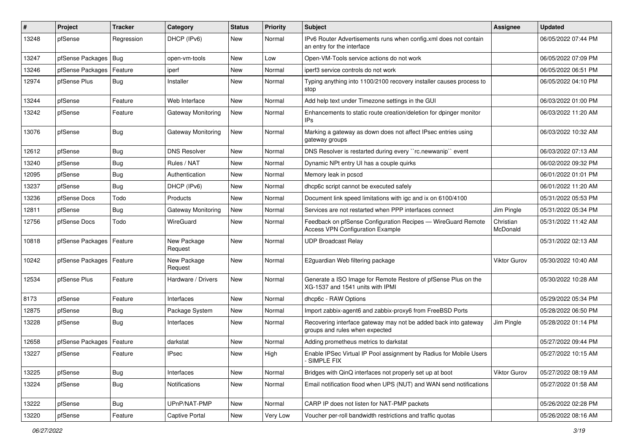| $\#$  | Project                    | <b>Tracker</b> | Category               | <b>Status</b> | <b>Priority</b> | <b>Subject</b>                                                                                          | <b>Assignee</b>       | <b>Updated</b>      |
|-------|----------------------------|----------------|------------------------|---------------|-----------------|---------------------------------------------------------------------------------------------------------|-----------------------|---------------------|
| 13248 | pfSense                    | Regression     | DHCP (IPv6)            | New           | Normal          | IPv6 Router Advertisements runs when config.xml does not contain<br>an entry for the interface          |                       | 06/05/2022 07:44 PM |
| 13247 | pfSense Packages           | Bug            | open-vm-tools          | New           | Low             | Open-VM-Tools service actions do not work                                                               |                       | 06/05/2022 07:09 PM |
| 13246 | pfSense Packages           | Feature        | iperf                  | New           | Normal          | iperf3 service controls do not work                                                                     |                       | 06/05/2022 06:51 PM |
| 12974 | pfSense Plus               | Bug            | Installer              | New           | Normal          | Typing anything into 1100/2100 recovery installer causes process to<br>stop                             |                       | 06/05/2022 04:10 PM |
| 13244 | pfSense                    | Feature        | Web Interface          | New           | Normal          | Add help text under Timezone settings in the GUI                                                        |                       | 06/03/2022 01:00 PM |
| 13242 | pfSense                    | Feature        | Gateway Monitoring     | New           | Normal          | Enhancements to static route creation/deletion for dpinger monitor<br>IPs                               |                       | 06/03/2022 11:20 AM |
| 13076 | pfSense                    | Bug            | Gateway Monitoring     | New           | Normal          | Marking a gateway as down does not affect IPsec entries using<br>gateway groups                         |                       | 06/03/2022 10:32 AM |
| 12612 | pfSense                    | <b>Bug</b>     | <b>DNS Resolver</b>    | New           | Normal          | DNS Resolver is restarted during every "rc.newwanip" event                                              |                       | 06/03/2022 07:13 AM |
| 13240 | pfSense                    | <b>Bug</b>     | Rules / NAT            | New           | Normal          | Dynamic NPt entry UI has a couple quirks                                                                |                       | 06/02/2022 09:32 PM |
| 12095 | pfSense                    | <b>Bug</b>     | Authentication         | New           | Normal          | Memory leak in pcscd                                                                                    |                       | 06/01/2022 01:01 PM |
| 13237 | pfSense                    | <b>Bug</b>     | DHCP (IPv6)            | New           | Normal          | dhcp6c script cannot be executed safely                                                                 |                       | 06/01/2022 11:20 AM |
| 13236 | pfSense Docs               | Todo           | Products               | New           | Normal          | Document link speed limitations with igc and ix on 6100/4100                                            |                       | 05/31/2022 05:53 PM |
| 12811 | pfSense                    | <b>Bug</b>     | Gateway Monitoring     | New           | Normal          | Services are not restarted when PPP interfaces connect                                                  | Jim Pingle            | 05/31/2022 05:34 PM |
| 12756 | pfSense Docs               | Todo           | WireGuard              | New           | Normal          | Feedback on pfSense Configuration Recipes - WireGuard Remote<br><b>Access VPN Configuration Example</b> | Christian<br>McDonald | 05/31/2022 11:42 AM |
| 10818 | pfSense Packages   Feature |                | New Package<br>Request | New           | Normal          | <b>UDP Broadcast Relay</b>                                                                              |                       | 05/31/2022 02:13 AM |
| 10242 | pfSense Packages           | Feature        | New Package<br>Request | New           | Normal          | E2guardian Web filtering package                                                                        | Viktor Gurov          | 05/30/2022 10:40 AM |
| 12534 | pfSense Plus               | Feature        | Hardware / Drivers     | New           | Normal          | Generate a ISO Image for Remote Restore of pfSense Plus on the<br>XG-1537 and 1541 units with IPMI      |                       | 05/30/2022 10:28 AM |
| 8173  | pfSense                    | Feature        | Interfaces             | New           | Normal          | dhcp6c - RAW Options                                                                                    |                       | 05/29/2022 05:34 PM |
| 12875 | pfSense                    | <b>Bug</b>     | Package System         | New           | Normal          | Import zabbix-agent6 and zabbix-proxy6 from FreeBSD Ports                                               |                       | 05/28/2022 06:50 PM |
| 13228 | pfSense                    | Bug            | Interfaces             | New           | Normal          | Recovering interface gateway may not be added back into gateway<br>groups and rules when expected       | Jim Pingle            | 05/28/2022 01:14 PM |
| 12658 | pfSense Packages           | Feature        | darkstat               | New           | Normal          | Adding prometheus metrics to darkstat                                                                   |                       | 05/27/2022 09:44 PM |
| 13227 | pfSense                    | Feature        | <b>IPsec</b>           | New           | High            | Enable IPSec Virtual IP Pool assignment by Radius for Mobile Users<br>SIMPLE FIX                        |                       | 05/27/2022 10:15 AM |
| 13225 | pfSense                    | Bug            | Interfaces             | New           | Normal          | Bridges with QinQ interfaces not properly set up at boot                                                | <b>Viktor Gurov</b>   | 05/27/2022 08:19 AM |
| 13224 | pfSense                    | <b>Bug</b>     | Notifications          | New           | Normal          | Email notification flood when UPS (NUT) and WAN send notifications                                      |                       | 05/27/2022 01:58 AM |
| 13222 | pfSense                    | Bug            | UPnP/NAT-PMP           | New           | Normal          | CARP IP does not listen for NAT-PMP packets                                                             |                       | 05/26/2022 02:28 PM |
| 13220 | pfSense                    | Feature        | Captive Portal         | New           | Very Low        | Voucher per-roll bandwidth restrictions and traffic quotas                                              |                       | 05/26/2022 08:16 AM |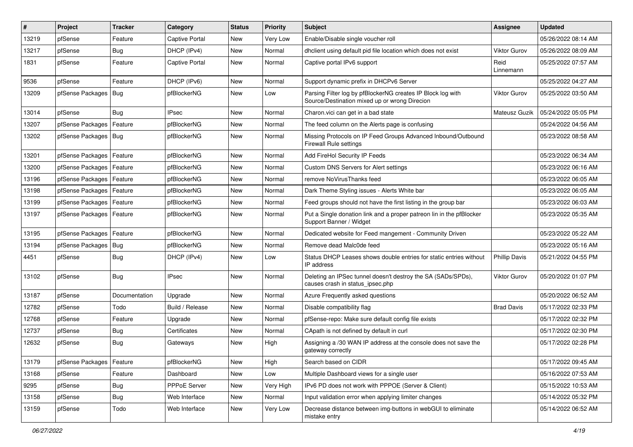| $\vert$ # | Project                    | <b>Tracker</b> | Category        | <b>Status</b> | <b>Priority</b> | <b>Subject</b>                                                                                               | <b>Assignee</b>      | <b>Updated</b>      |
|-----------|----------------------------|----------------|-----------------|---------------|-----------------|--------------------------------------------------------------------------------------------------------------|----------------------|---------------------|
| 13219     | pfSense                    | Feature        | Captive Portal  | New           | Very Low        | Enable/Disable single voucher roll                                                                           |                      | 05/26/2022 08:14 AM |
| 13217     | pfSense                    | Bug            | DHCP (IPv4)     | New           | Normal          | dhclient using default pid file location which does not exist                                                | <b>Viktor Gurov</b>  | 05/26/2022 08:09 AM |
| 1831      | pfSense                    | Feature        | Captive Portal  | New           | Normal          | Captive portal IPv6 support                                                                                  | Reid<br>Linnemann    | 05/25/2022 07:57 AM |
| 9536      | pfSense                    | Feature        | DHCP (IPv6)     | New           | Normal          | Support dynamic prefix in DHCPv6 Server                                                                      |                      | 05/25/2022 04:27 AM |
| 13209     | pfSense Packages           | <b>Bug</b>     | pfBlockerNG     | New           | Low             | Parsing Filter log by pfBlockerNG creates IP Block log with<br>Source/Destination mixed up or wrong Direcion | <b>Viktor Gurov</b>  | 05/25/2022 03:50 AM |
| 13014     | pfSense                    | Bug            | <b>IPsec</b>    | New           | Normal          | Charon.vici can get in a bad state                                                                           | Mateusz Guzik        | 05/24/2022 05:05 PM |
| 13207     | pfSense Packages           | Feature        | pfBlockerNG     | New           | Normal          | The feed column on the Alerts page is confusing                                                              |                      | 05/24/2022 04:56 AM |
| 13202     | pfSense Packages           | Bug            | pfBlockerNG     | New           | Normal          | Missing Protocols on IP Feed Groups Advanced Inbound/Outbound<br><b>Firewall Rule settings</b>               |                      | 05/23/2022 08:58 AM |
| 13201     | pfSense Packages           | Feature        | pfBlockerNG     | New           | Normal          | Add FireHol Security IP Feeds                                                                                |                      | 05/23/2022 06:34 AM |
| 13200     | pfSense Packages           | Feature        | pfBlockerNG     | New           | Normal          | Custom DNS Servers for Alert settings                                                                        |                      | 05/23/2022 06:16 AM |
| 13196     | pfSense Packages           | Feature        | pfBlockerNG     | New           | Normal          | remove NoVirusThanks feed                                                                                    |                      | 05/23/2022 06:05 AM |
| 13198     | pfSense Packages           | Feature        | pfBlockerNG     | New           | Normal          | Dark Theme Styling issues - Alerts White bar                                                                 |                      | 05/23/2022 06:05 AM |
| 13199     | pfSense Packages           | Feature        | pfBlockerNG     | <b>New</b>    | Normal          | Feed groups should not have the first listing in the group bar                                               |                      | 05/23/2022 06:03 AM |
| 13197     | pfSense Packages           | Feature        | pfBlockerNG     | New           | Normal          | Put a Single donation link and a proper patreon lin in the pfBlocker<br>Support Banner / Widget              |                      | 05/23/2022 05:35 AM |
| 13195     | pfSense Packages           | Feature        | pfBlockerNG     | New           | Normal          | Dedicated website for Feed mangement - Community Driven                                                      |                      | 05/23/2022 05:22 AM |
| 13194     | pfSense Packages           | <b>Bug</b>     | pfBlockerNG     | New           | Normal          | Remove dead Malc0de feed                                                                                     |                      | 05/23/2022 05:16 AM |
| 4451      | pfSense                    | <b>Bug</b>     | DHCP (IPv4)     | New           | Low             | Status DHCP Leases shows double entries for static entries without<br>IP address                             | <b>Phillip Davis</b> | 05/21/2022 04:55 PM |
| 13102     | pfSense                    | Bug            | <b>IPsec</b>    | <b>New</b>    | Normal          | Deleting an IPSec tunnel doesn't destroy the SA (SADs/SPDs),<br>causes crash in status_ipsec.php             | Viktor Gurov         | 05/20/2022 01:07 PM |
| 13187     | pfSense                    | Documentation  | Upgrade         | New           | Normal          | Azure Frequently asked questions                                                                             |                      | 05/20/2022 06:52 AM |
| 12782     | pfSense                    | Todo           | Build / Release | New           | Normal          | Disable compatibility flag                                                                                   | <b>Brad Davis</b>    | 05/17/2022 02:33 PM |
| 12768     | pfSense                    | Feature        | Upgrade         | New           | Normal          | pfSense-repo: Make sure default config file exists                                                           |                      | 05/17/2022 02:32 PM |
| 12737     | pfSense                    | Bug            | Certificates    | New           | Normal          | CApath is not defined by default in curl                                                                     |                      | 05/17/2022 02:30 PM |
| 12632     | pfSense                    | <b>Bug</b>     | Gateways        | New           | High            | Assigning a /30 WAN IP address at the console does not save the<br>gateway correctly                         |                      | 05/17/2022 02:28 PM |
| 13179     | pfSense Packages   Feature |                | pfBlockerNG     | New           | High            | Search based on CIDR                                                                                         |                      | 05/17/2022 09:45 AM |
| 13168     | pfSense                    | Feature        | Dashboard       | New           | Low             | Multiple Dashboard views for a single user                                                                   |                      | 05/16/2022 07:53 AM |
| 9295      | pfSense                    | <b>Bug</b>     | PPPoE Server    | New           | Very High       | IPv6 PD does not work with PPPOE (Server & Client)                                                           |                      | 05/15/2022 10:53 AM |
| 13158     | pfSense                    | <b>Bug</b>     | Web Interface   | New           | Normal          | Input validation error when applying limiter changes                                                         |                      | 05/14/2022 05:32 PM |
| 13159     | pfSense                    | Todo           | Web Interface   | New           | Very Low        | Decrease distance between img-buttons in webGUI to eliminate<br>mistake entry                                |                      | 05/14/2022 06:52 AM |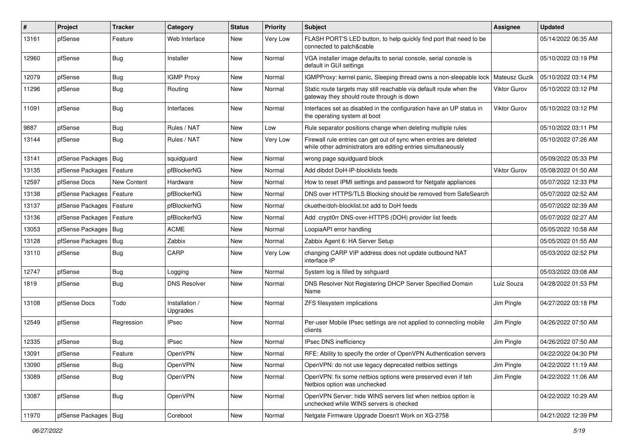| $\#$  | Project                | <b>Tracker</b> | Category                   | <b>Status</b> | <b>Priority</b> | <b>Subject</b>                                                                                                                      | Assignee      | <b>Updated</b>      |
|-------|------------------------|----------------|----------------------------|---------------|-----------------|-------------------------------------------------------------------------------------------------------------------------------------|---------------|---------------------|
| 13161 | pfSense                | Feature        | Web Interface              | New           | Very Low        | FLASH PORT'S LED button, to help quickly find port that need to be<br>connected to patch&cable                                      |               | 05/14/2022 06:35 AM |
| 12960 | pfSense                | Bug            | Installer                  | New           | Normal          | VGA installer image defaults to serial console, serial console is<br>default in GUI settings                                        |               | 05/10/2022 03:19 PM |
| 12079 | pfSense                | <b>Bug</b>     | <b>IGMP Proxy</b>          | <b>New</b>    | Normal          | IGMPProxy: kernel panic, Sleeping thread owns a non-sleepable lock                                                                  | Mateusz Guzik | 05/10/2022 03:14 PM |
| 11296 | pfSense                | <b>Bug</b>     | Routing                    | New           | Normal          | Static route targets may still reachable via default route when the<br>gateway they should route through is down                    | Viktor Gurov  | 05/10/2022 03:12 PM |
| 11091 | pfSense                | Bug            | Interfaces                 | <b>New</b>    | Normal          | Interfaces set as disabled in the configuration have an UP status in<br>the operating system at boot                                | Viktor Gurov  | 05/10/2022 03:12 PM |
| 9887  | pfSense                | Bug            | Rules / NAT                | <b>New</b>    | Low             | Rule separator positions change when deleting multiple rules                                                                        |               | 05/10/2022 03:11 PM |
| 13144 | pfSense                | Bug            | Rules / NAT                | New           | Very Low        | Firewall rule entries can get out of sync when entries are deleted<br>while other administrators are editing entries simultaneously |               | 05/10/2022 07:26 AM |
| 13141 | pfSense Packages       | Bug            | squidguard                 | <b>New</b>    | Normal          | wrong page squidguard block                                                                                                         |               | 05/09/2022 05:33 PM |
| 13135 | pfSense Packages       | Feature        | pfBlockerNG                | New           | Normal          | Add dibdot DoH-IP-blocklists feeds                                                                                                  | Viktor Gurov  | 05/08/2022 01:50 AM |
| 12597 | pfSense Docs           | New Content    | Hardware                   | New           | Normal          | How to reset IPMI settings and password for Netgate appliances                                                                      |               | 05/07/2022 12:33 PM |
| 13138 | pfSense Packages       | Feature        | pfBlockerNG                | New           | Normal          | DNS over HTTPS/TLS Blocking should be removed from SafeSearch                                                                       |               | 05/07/2022 02:52 AM |
| 13137 | pfSense Packages       | Feature        | pfBlockerNG                | New           | Normal          | ckuethe/doh-blocklist.txt add to DoH feeds                                                                                          |               | 05/07/2022 02:39 AM |
| 13136 | pfSense Packages       | Feature        | pfBlockerNG                | New           | Normal          | Add crypt0rr DNS-over-HTTPS (DOH) provider list feeds                                                                               |               | 05/07/2022 02:27 AM |
| 13053 | pfSense Packages       | <b>Bug</b>     | <b>ACME</b>                | New           | Normal          | LoopiaAPI error handling                                                                                                            |               | 05/05/2022 10:58 AM |
| 13128 | pfSense Packages   Bug |                | Zabbix                     | New           | Normal          | Zabbix Agent 6: HA Server Setup                                                                                                     |               | 05/05/2022 01:55 AM |
| 13110 | pfSense                | Bug            | CARP                       | New           | Very Low        | changing CARP VIP address does not update outbound NAT<br>interface IP                                                              |               | 05/03/2022 02:52 PM |
| 12747 | pfSense                | Bug            | Logging                    | New           | Normal          | System log is filled by sshguard                                                                                                    |               | 05/03/2022 03:08 AM |
| 1819  | pfSense                | <b>Bug</b>     | <b>DNS Resolver</b>        | New           | Normal          | DNS Resolver Not Registering DHCP Server Specified Domain<br>Name                                                                   | Luiz Souza    | 04/28/2022 01:53 PM |
| 13108 | pfSense Docs           | Todo           | Installation /<br>Upgrades | <b>New</b>    | Normal          | ZFS filesystem implications                                                                                                         | Jim Pingle    | 04/27/2022 03:18 PM |
| 12549 | pfSense                | Regression     | <b>IPsec</b>               | New           | Normal          | Per-user Mobile IPsec settings are not applied to connecting mobile<br>clients                                                      | Jim Pingle    | 04/26/2022 07:50 AM |
| 12335 | pfSense                | Bug            | <b>IPsec</b>               | New           | Normal          | IPsec DNS inefficiency                                                                                                              | Jim Pingle    | 04/26/2022 07:50 AM |
| 13091 | pfSense                | Feature        | OpenVPN                    | New           | Normal          | RFE: Ability to specify the order of OpenVPN Authentication servers                                                                 |               | 04/22/2022 04:30 PM |
| 13090 | pfSense                | <b>Bug</b>     | OpenVPN                    | New           | Normal          | OpenVPN: do not use legacy deprecated netbios settings                                                                              | Jim Pingle    | 04/22/2022 11:19 AM |
| 13089 | pfSense                | <b>Bug</b>     | OpenVPN                    | New           | Normal          | OpenVPN: fix some netbios options were preserved even if teh<br>Netbios option was unchecked                                        | Jim Pingle    | 04/22/2022 11:06 AM |
| 13087 | pfSense                | <b>Bug</b>     | OpenVPN                    | New           | Normal          | OpenVPN Server: hide WINS servers list when netbios option is<br>unchecked while WINS servers is checked                            |               | 04/22/2022 10:29 AM |
| 11970 | pfSense Packages   Bug |                | Coreboot                   | New           | Normal          | Netgate Firmware Upgrade Doesn't Work on XG-2758                                                                                    |               | 04/21/2022 12:39 PM |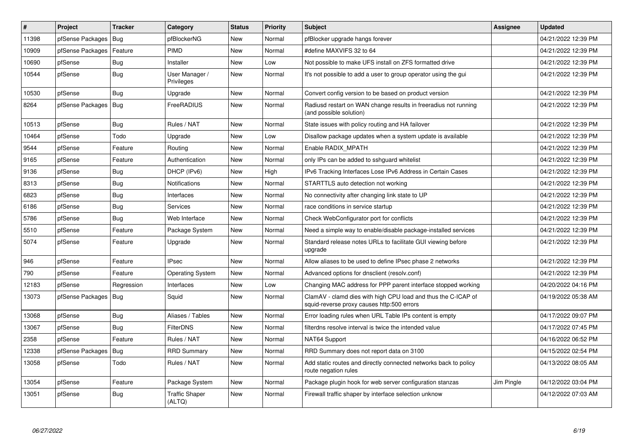| $\vert$ # | Project          | <b>Tracker</b> | Category                        | <b>Status</b> | <b>Priority</b> | <b>Subject</b>                                                                                              | Assignee   | <b>Updated</b>      |
|-----------|------------------|----------------|---------------------------------|---------------|-----------------|-------------------------------------------------------------------------------------------------------------|------------|---------------------|
| 11398     | pfSense Packages | <b>Bug</b>     | pfBlockerNG                     | <b>New</b>    | Normal          | pfBlocker upgrade hangs forever                                                                             |            | 04/21/2022 12:39 PM |
| 10909     | pfSense Packages | Feature        | <b>PIMD</b>                     | New           | Normal          | #define MAXVIFS 32 to 64                                                                                    |            | 04/21/2022 12:39 PM |
| 10690     | pfSense          | Bug            | Installer                       | <b>New</b>    | Low             | Not possible to make UFS install on ZFS formatted drive                                                     |            | 04/21/2022 12:39 PM |
| 10544     | pfSense          | Bug            | User Manager /<br>Privileges    | New           | Normal          | It's not possible to add a user to group operator using the gui                                             |            | 04/21/2022 12:39 PM |
| 10530     | pfSense          | <b>Bug</b>     | Upgrade                         | <b>New</b>    | Normal          | Convert config version to be based on product version                                                       |            | 04/21/2022 12:39 PM |
| 8264      | pfSense Packages | Bug            | FreeRADIUS                      | New           | Normal          | Radiusd restart on WAN change results in freeradius not running<br>(and possible solution)                  |            | 04/21/2022 12:39 PM |
| 10513     | pfSense          | <b>Bug</b>     | Rules / NAT                     | New           | Normal          | State issues with policy routing and HA failover                                                            |            | 04/21/2022 12:39 PM |
| 10464     | pfSense          | Todo           | Upgrade                         | New           | Low             | Disallow package updates when a system update is available                                                  |            | 04/21/2022 12:39 PM |
| 9544      | pfSense          | Feature        | Routing                         | <b>New</b>    | Normal          | Enable RADIX MPATH                                                                                          |            | 04/21/2022 12:39 PM |
| 9165      | pfSense          | Feature        | Authentication                  | New           | Normal          | only IPs can be added to sshguard whitelist                                                                 |            | 04/21/2022 12:39 PM |
| 9136      | pfSense          | Bug            | DHCP (IPv6)                     | New           | High            | IPv6 Tracking Interfaces Lose IPv6 Address in Certain Cases                                                 |            | 04/21/2022 12:39 PM |
| 8313      | pfSense          | <b>Bug</b>     | <b>Notifications</b>            | <b>New</b>    | Normal          | STARTTLS auto detection not working                                                                         |            | 04/21/2022 12:39 PM |
| 6823      | pfSense          | Bug            | Interfaces                      | <b>New</b>    | Normal          | No connectivity after changing link state to UP                                                             |            | 04/21/2022 12:39 PM |
| 6186      | pfSense          | <b>Bug</b>     | Services                        | New           | Normal          | race conditions in service startup                                                                          |            | 04/21/2022 12:39 PM |
| 5786      | pfSense          | <b>Bug</b>     | Web Interface                   | <b>New</b>    | Normal          | Check WebConfigurator port for conflicts                                                                    |            | 04/21/2022 12:39 PM |
| 5510      | pfSense          | Feature        | Package System                  | New           | Normal          | Need a simple way to enable/disable package-installed services                                              |            | 04/21/2022 12:39 PM |
| 5074      | pfSense          | Feature        | Upgrade                         | New           | Normal          | Standard release notes URLs to facilitate GUI viewing before<br>upgrade                                     |            | 04/21/2022 12:39 PM |
| 946       | pfSense          | Feature        | <b>IPsec</b>                    | <b>New</b>    | Normal          | Allow aliases to be used to define IPsec phase 2 networks                                                   |            | 04/21/2022 12:39 PM |
| 790       | pfSense          | Feature        | <b>Operating System</b>         | <b>New</b>    | Normal          | Advanced options for dnsclient (resolv.conf)                                                                |            | 04/21/2022 12:39 PM |
| 12183     | pfSense          | Regression     | Interfaces                      | New           | Low             | Changing MAC address for PPP parent interface stopped working                                               |            | 04/20/2022 04:16 PM |
| 13073     | pfSense Packages | Bug            | Squid                           | <b>New</b>    | Normal          | ClamAV - clamd dies with high CPU load and thus the C-ICAP of<br>squid-reverse proxy causes http:500 errors |            | 04/19/2022 05:38 AM |
| 13068     | pfSense          | Bug            | Aliases / Tables                | New           | Normal          | Error loading rules when URL Table IPs content is empty                                                     |            | 04/17/2022 09:07 PM |
| 13067     | pfSense          | Bug            | <b>FilterDNS</b>                | <b>New</b>    | Normal          | filterdns resolve interval is twice the intended value                                                      |            | 04/17/2022 07:45 PM |
| 2358      | pfSense          | Feature        | Rules / NAT                     | <b>New</b>    | Normal          | NAT64 Support                                                                                               |            | 04/16/2022 06:52 PM |
| 12338     | pfSense Packages | <b>Bug</b>     | <b>RRD Summary</b>              | New           | Normal          | RRD Summary does not report data on 3100                                                                    |            | 04/15/2022 02:54 PM |
| 13058     | pfSense          | Todo           | Rules / NAT                     | New           | Normal          | Add static routes and directly connected networks back to policy<br>route negation rules                    |            | 04/13/2022 08:05 AM |
| 13054     | pfSense          | Feature        | Package System                  | New           | Normal          | Package plugin hook for web server configuration stanzas                                                    | Jim Pingle | 04/12/2022 03:04 PM |
| 13051     | pfSense          | <b>Bug</b>     | <b>Traffic Shaper</b><br>(ALTQ) | New           | Normal          | Firewall traffic shaper by interface selection unknow                                                       |            | 04/12/2022 07:03 AM |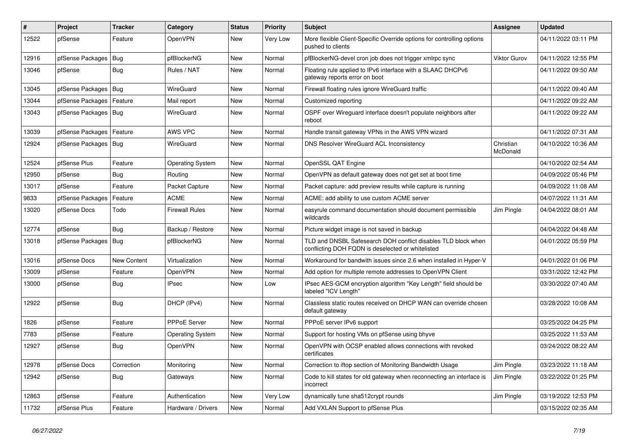| $\vert$ # | Project                    | <b>Tracker</b> | Category                | <b>Status</b> | <b>Priority</b> | Subject                                                                                                            | <b>Assignee</b>       | <b>Updated</b>      |
|-----------|----------------------------|----------------|-------------------------|---------------|-----------------|--------------------------------------------------------------------------------------------------------------------|-----------------------|---------------------|
| 12522     | pfSense                    | Feature        | OpenVPN                 | New           | Very Low        | More flexible Client-Specific Override options for controlling options<br>pushed to clients                        |                       | 04/11/2022 03:11 PM |
| 12916     | pfSense Packages           | Bug            | pfBlockerNG             | New           | Normal          | pfBlockerNG-devel cron job does not trigger xmlrpc sync                                                            | <b>Viktor Gurov</b>   | 04/11/2022 12:55 PM |
| 13046     | pfSense                    | Bug            | Rules / NAT             | New           | Normal          | Floating rule applied to IPv6 interface with a SLAAC DHCPv6<br>gateway reports error on boot                       |                       | 04/11/2022 09:50 AM |
| 13045     | pfSense Packages           | Bug            | WireGuard               | New           | Normal          | Firewall floating rules ignore WireGuard traffic                                                                   |                       | 04/11/2022 09:40 AM |
| 13044     | pfSense Packages   Feature |                | Mail report             | New           | Normal          | Customized reporting                                                                                               |                       | 04/11/2022 09:22 AM |
| 13043     | pfSense Packages   Bug     |                | WireGuard               | New           | Normal          | OSPF over Wireguard interface doesn't populate neighbors after<br>reboot                                           |                       | 04/11/2022 09:22 AM |
| 13039     | pfSense Packages           | Feature        | AWS VPC                 | New           | Normal          | Handle transit gateway VPNs in the AWS VPN wizard                                                                  |                       | 04/11/2022 07:31 AM |
| 12924     | pfSense Packages           | Bug            | WireGuard               | New           | Normal          | DNS Resolver WireGuard ACL Inconsistency                                                                           | Christian<br>McDonald | 04/10/2022 10:36 AM |
| 12524     | pfSense Plus               | Feature        | <b>Operating System</b> | <b>New</b>    | Normal          | OpenSSL QAT Engine                                                                                                 |                       | 04/10/2022 02:54 AM |
| 12950     | pfSense                    | Bug            | Routing                 | New           | Normal          | OpenVPN as default gateway does not get set at boot time                                                           |                       | 04/09/2022 05:46 PM |
| 13017     | pfSense                    | Feature        | Packet Capture          | New           | Normal          | Packet capture: add preview results while capture is running                                                       |                       | 04/09/2022 11:08 AM |
| 9833      | pfSense Packages           | Feature        | <b>ACME</b>             | <b>New</b>    | Normal          | ACME: add ability to use custom ACME server                                                                        |                       | 04/07/2022 11:31 AM |
| 13020     | pfSense Docs               | Todo           | <b>Firewall Rules</b>   | New           | Normal          | easyrule command documentation should document permissible<br>wildcards                                            | Jim Pingle            | 04/04/2022 08:01 AM |
| 12774     | pfSense                    | Bug            | Backup / Restore        | <b>New</b>    | Normal          | Picture widget image is not saved in backup                                                                        |                       | 04/04/2022 04:48 AM |
| 13018     | pfSense Packages           | Bug            | pfBlockerNG             | New           | Normal          | TLD and DNSBL Safesearch DOH conflict disables TLD block when<br>conflicting DOH FQDN is deselected or whitelisted |                       | 04/01/2022 05:59 PM |
| 13016     | pfSense Docs               | New Content    | Virtualization          | New           | Normal          | Workaround for bandwith issues since 2.6 when installed in Hyper-V                                                 |                       | 04/01/2022 01:06 PM |
| 13009     | pfSense                    | Feature        | OpenVPN                 | New           | Normal          | Add option for multiple remote addresses to OpenVPN Client                                                         |                       | 03/31/2022 12:42 PM |
| 13000     | pfSense                    | Bug            | <b>IPsec</b>            | New           | Low             | IPsec AES-GCM encryption algorithm "Key Length" field should be<br>labeled "ICV Length"                            |                       | 03/30/2022 07:40 AM |
| 12922     | pfSense                    | Bug            | DHCP (IPv4)             | New           | Normal          | Classless static routes received on DHCP WAN can override chosen<br>default gateway                                |                       | 03/28/2022 10:08 AM |
| 1826      | pfSense                    | Feature        | PPPoE Server            | <b>New</b>    | Normal          | PPPoE server IPv6 support                                                                                          |                       | 03/25/2022 04:25 PM |
| 7783      | pfSense                    | Feature        | <b>Operating System</b> | New           | Normal          | Support for hosting VMs on pfSense using bhyve                                                                     |                       | 03/25/2022 11:53 AM |
| 12927     | pfSense                    | <b>Bug</b>     | <b>OpenVPN</b>          | New           | Normal          | OpenVPN with OCSP enabled allows connections with revoked<br>certificates                                          |                       | 03/24/2022 08:22 AM |
| 12978     | pfSense Docs               | Correction     | Monitoring              | New           | Normal          | Correction to iftop section of Monitoring Bandwidth Usage                                                          | Jim Pingle            | 03/23/2022 11:18 AM |
| 12942     | pfSense                    | <b>Bug</b>     | Gateways                | New           | Normal          | Code to kill states for old gateway when reconnecting an interface is<br>incorrect                                 | Jim Pingle            | 03/22/2022 01:25 PM |
| 12863     | pfSense                    | Feature        | Authentication          | New           | Very Low        | dynamically tune sha512crypt rounds                                                                                | Jim Pingle            | 03/19/2022 12:53 PM |
| 11732     | pfSense Plus               | Feature        | Hardware / Drivers      | New           | Normal          | Add VXLAN Support to pfSense Plus                                                                                  |                       | 03/15/2022 02:35 AM |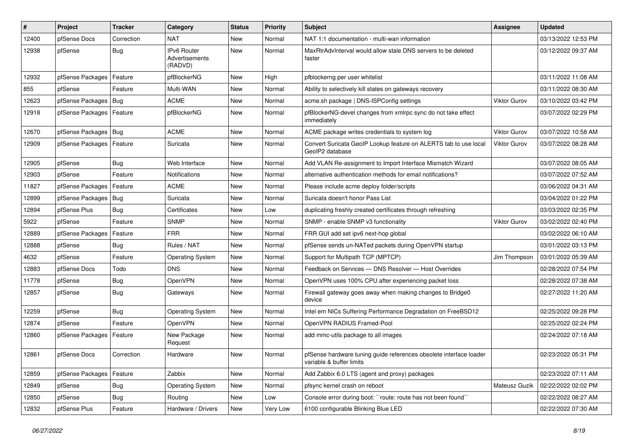| $\vert$ # | Project                | <b>Tracker</b> | Category                                        | <b>Status</b> | <b>Priority</b> | <b>Subject</b>                                                                                 | <b>Assignee</b>     | <b>Updated</b>      |
|-----------|------------------------|----------------|-------------------------------------------------|---------------|-----------------|------------------------------------------------------------------------------------------------|---------------------|---------------------|
| 12400     | pfSense Docs           | Correction     | <b>NAT</b>                                      | New           | Normal          | NAT 1:1 documentation - multi-wan information                                                  |                     | 03/13/2022 12:53 PM |
| 12938     | pfSense                | Bug            | <b>IPv6 Router</b><br>Advertisements<br>(RADVD) | New           | Normal          | MaxRtrAdvInterval would allow stale DNS servers to be deleted<br>faster                        |                     | 03/12/2022 09:37 AM |
| 12932     | pfSense Packages       | Feature        | pfBlockerNG                                     | <b>New</b>    | High            | pfblockerng per user whitelist                                                                 |                     | 03/11/2022 11:08 AM |
| 855       | pfSense                | Feature        | Multi-WAN                                       | New           | Normal          | Ability to selectively kill states on gateways recovery                                        |                     | 03/11/2022 08:30 AM |
| 12623     | pfSense Packages   Bug |                | <b>ACME</b>                                     | New           | Normal          | acme.sh package   DNS-ISPConfig settings                                                       | Viktor Gurov        | 03/10/2022 03:42 PM |
| 12918     | pfSense Packages       | Feature        | pfBlockerNG                                     | New           | Normal          | pfBlockerNG-devel changes from xmlrpc sync do not take effect<br>immediately                   |                     | 03/07/2022 02:29 PM |
| 12670     | pfSense Packages   Bug |                | <b>ACME</b>                                     | New           | Normal          | ACME package writes credentials to system log                                                  | <b>Viktor Gurov</b> | 03/07/2022 10:58 AM |
| 12909     | pfSense Packages       | Feature        | Suricata                                        | New           | Normal          | Convert Suricata GeoIP Lookup feature on ALERTS tab to use local<br>GeoIP2 database            | Viktor Gurov        | 03/07/2022 08:28 AM |
| 12905     | pfSense                | <b>Bug</b>     | Web Interface                                   | New           | Normal          | Add VLAN Re-assignment to Import Interface Mismatch Wizard                                     |                     | 03/07/2022 08:05 AM |
| 12903     | pfSense                | Feature        | Notifications                                   | New           | Normal          | alternative authentication methods for email notifications?                                    |                     | 03/07/2022 07:52 AM |
| 11827     | pfSense Packages       | Feature        | ACME                                            | New           | Normal          | Please include acme deploy folder/scripts                                                      |                     | 03/06/2022 04:31 AM |
| 12899     | pfSense Packages       | Bug            | Suricata                                        | New           | Normal          | Suricata doesn't honor Pass List                                                               |                     | 03/04/2022 01:22 PM |
| 12894     | pfSense Plus           | <b>Bug</b>     | Certificates                                    | New           | Low             | duplicating freshly created certificates through refreshing                                    |                     | 03/03/2022 02:35 PM |
| 5922      | pfSense                | Feature        | <b>SNMP</b>                                     | New           | Normal          | SNMP - enable SNMP v3 functionality                                                            | Viktor Gurov        | 03/02/2022 02:40 PM |
| 12889     | pfSense Packages       | Feature        | <b>FRR</b>                                      | New           | Normal          | FRR GUI add set ipv6 next-hop global                                                           |                     | 03/02/2022 06:10 AM |
| 12888     | pfSense                | Bug            | Rules / NAT                                     | New           | Normal          | pfSense sends un-NATed packets during OpenVPN startup                                          |                     | 03/01/2022 03:13 PM |
| 4632      | pfSense                | Feature        | <b>Operating System</b>                         | New           | Normal          | Support for Multipath TCP (MPTCP)                                                              | Jim Thompson        | 03/01/2022 05:39 AM |
| 12883     | pfSense Docs           | Todo           | DNS.                                            | New           | Normal          | Feedback on Services - DNS Resolver - Host Overrides                                           |                     | 02/28/2022 07:54 PM |
| 11778     | pfSense                | Bug            | OpenVPN                                         | New           | Normal          | OpenVPN uses 100% CPU after experiencing packet loss                                           |                     | 02/28/2022 07:38 AM |
| 12857     | pfSense                | Bug            | Gateways                                        | New           | Normal          | Firewall gateway goes away when making changes to Bridge0<br>device                            |                     | 02/27/2022 11:20 AM |
| 12259     | pfSense                | Bug            | <b>Operating System</b>                         | <b>New</b>    | Normal          | Intel em NICs Suffering Performance Degradation on FreeBSD12                                   |                     | 02/25/2022 09:28 PM |
| 12874     | pfSense                | Feature        | OpenVPN                                         | New           | Normal          | OpenVPN RADIUS Framed-Pool                                                                     |                     | 02/25/2022 02:24 PM |
| 12860     | pfSense Packages       | Feature        | New Package<br>Request                          | New           | Normal          | add mmc-utils package to all images                                                            |                     | 02/24/2022 07:18 AM |
| 12861     | pfSense Docs           | Correction     | Hardware                                        | New           | Normal          | pfSense hardware tuning guide references obsolete interface loader<br>variable & buffer limits |                     | 02/23/2022 05:31 PM |
| 12859     | pfSense Packages       | Feature        | Zabbix                                          | <b>New</b>    | Normal          | Add Zabbix 6.0 LTS (agent and proxy) packages                                                  |                     | 02/23/2022 07:11 AM |
| 12849     | pfSense                | <b>Bug</b>     | <b>Operating System</b>                         | New           | Normal          | pfsync kernel crash on reboot                                                                  | Mateusz Guzik       | 02/22/2022 02:02 PM |
| 12850     | pfSense                | <b>Bug</b>     | Routing                                         | New           | Low             | Console error during boot: "route: route has not been found"                                   |                     | 02/22/2022 08:27 AM |
| 12832     | pfSense Plus           | Feature        | Hardware / Drivers                              | New           | Very Low        | 6100 configurable Blinking Blue LED                                                            |                     | 02/22/2022 07:30 AM |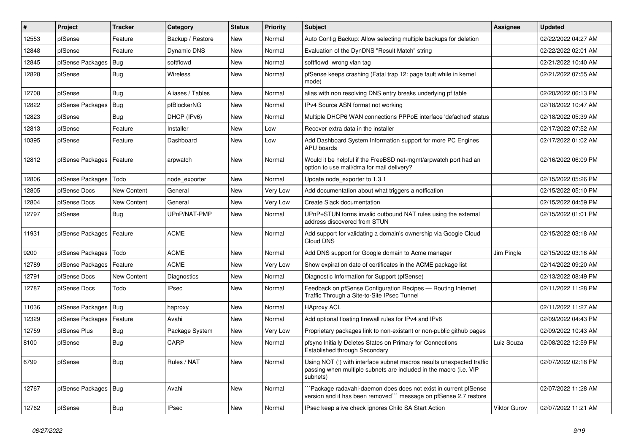| $\sharp$ | Project                    | <b>Tracker</b> | Category         | <b>Status</b> | <b>Priority</b> | <b>Subject</b>                                                                                                                                         | Assignee     | <b>Updated</b>      |
|----------|----------------------------|----------------|------------------|---------------|-----------------|--------------------------------------------------------------------------------------------------------------------------------------------------------|--------------|---------------------|
| 12553    | pfSense                    | Feature        | Backup / Restore | <b>New</b>    | Normal          | Auto Config Backup: Allow selecting multiple backups for deletion                                                                                      |              | 02/22/2022 04:27 AM |
| 12848    | pfSense                    | Feature        | Dynamic DNS      | <b>New</b>    | Normal          | Evaluation of the DynDNS "Result Match" string                                                                                                         |              | 02/22/2022 02:01 AM |
| 12845    | pfSense Packages   Bug     |                | softflowd        | New           | Normal          | softflowd wrong vlan tag                                                                                                                               |              | 02/21/2022 10:40 AM |
| 12828    | pfSense                    | <b>Bug</b>     | <b>Wireless</b>  | <b>New</b>    | Normal          | pfSense keeps crashing (Fatal trap 12: page fault while in kernel<br>mode)                                                                             |              | 02/21/2022 07:55 AM |
| 12708    | pfSense                    | Bug            | Aliases / Tables | New           | Normal          | alias with non resolving DNS entry breaks underlying pf table                                                                                          |              | 02/20/2022 06:13 PM |
| 12822    | pfSense Packages           | <b>Bug</b>     | pfBlockerNG      | New           | Normal          | IPv4 Source ASN format not working                                                                                                                     |              | 02/18/2022 10:47 AM |
| 12823    | pfSense                    | Bug            | DHCP (IPv6)      | New           | Normal          | Multiple DHCP6 WAN connections PPPoE interface 'defached' status                                                                                       |              | 02/18/2022 05:39 AM |
| 12813    | pfSense                    | Feature        | Installer        | New           | Low             | Recover extra data in the installer                                                                                                                    |              | 02/17/2022 07:52 AM |
| 10395    | pfSense                    | Feature        | Dashboard        | New           | Low             | Add Dashboard System Information support for more PC Engines<br>APU boards                                                                             |              | 02/17/2022 01:02 AM |
| 12812    | pfSense Packages   Feature |                | arpwatch         | <b>New</b>    | Normal          | Would it be helpful if the FreeBSD net-mgmt/arpwatch port had an<br>option to use mail/dma for mail delivery?                                          |              | 02/16/2022 06:09 PM |
| 12806    | pfSense Packages           | Todo           | node exporter    | <b>New</b>    | Normal          | Update node exporter to 1.3.1                                                                                                                          |              | 02/15/2022 05:26 PM |
| 12805    | pfSense Docs               | New Content    | General          | <b>New</b>    | Very Low        | Add documentation about what triggers a notfication                                                                                                    |              | 02/15/2022 05:10 PM |
| 12804    | pfSense Docs               | New Content    | General          | New           | Very Low        | Create Slack documentation                                                                                                                             |              | 02/15/2022 04:59 PM |
| 12797    | pfSense                    | <b>Bug</b>     | UPnP/NAT-PMP     | New           | Normal          | UPnP+STUN forms invalid outbound NAT rules using the external<br>address discovered from STUN                                                          |              | 02/15/2022 01:01 PM |
| 11931    | pfSense Packages   Feature |                | <b>ACME</b>      | New           | Normal          | Add support for validating a domain's ownership via Google Cloud<br>Cloud DNS                                                                          |              | 02/15/2022 03:18 AM |
| 9200     | pfSense Packages           | Todo           | <b>ACME</b>      | <b>New</b>    | Normal          | Add DNS support for Google domain to Acme manager                                                                                                      | Jim Pingle   | 02/15/2022 03:16 AM |
| 12789    | pfSense Packages           | Feature        | <b>ACME</b>      | New           | Very Low        | Show expiration date of certificates in the ACME package list                                                                                          |              | 02/14/2022 09:20 AM |
| 12791    | pfSense Docs               | New Content    | Diagnostics      | New           | Normal          | Diagnostic Information for Support (pfSense)                                                                                                           |              | 02/13/2022 08:49 PM |
| 12787    | pfSense Docs               | Todo           | <b>IPsec</b>     | New           | Normal          | Feedback on pfSense Configuration Recipes - Routing Internet<br>Traffic Through a Site-to-Site IPsec Tunnel                                            |              | 02/11/2022 11:28 PM |
| 11036    | pfSense Packages   Bug     |                | haproxy          | New           | Normal          | <b>HAproxy ACL</b>                                                                                                                                     |              | 02/11/2022 11:27 AM |
| 12329    | pfSense Packages           | Feature        | Avahi            | New           | Normal          | Add optional floating firewall rules for IPv4 and IPv6                                                                                                 |              | 02/09/2022 04:43 PM |
| 12759    | pfSense Plus               | <b>Bug</b>     | Package System   | New           | Very Low        | Proprietary packages link to non-existant or non-public github pages                                                                                   |              | 02/09/2022 10:43 AM |
| 8100     | pfSense                    | <b>Bug</b>     | CARP             | New           | Normal          | pfsync Initially Deletes States on Primary for Connections<br>Established through Secondary                                                            | Luiz Souza   | 02/08/2022 12:59 PM |
| 6799     | pfSense                    | Bug            | Rules / NAT      | New           | Normal          | Using NOT (!) with interface subnet macros results unexpected traffic<br>passing when multiple subnets are included in the macro (i.e. VIP<br>subnets) |              | 02/07/2022 02:18 PM |
| 12767    | pfSense Packages   Bug     |                | Avahi            | New           | Normal          | Package radavahi-daemon does does not exist in current pfSense<br>version and it has been removed``` message on pfSense 2.7 restore                    |              | 02/07/2022 11:28 AM |
| 12762    | pfSense                    | <b>Bug</b>     | <b>IPsec</b>     | <b>New</b>    | Normal          | IPsec keep alive check ignores Child SA Start Action                                                                                                   | Viktor Gurov | 02/07/2022 11:21 AM |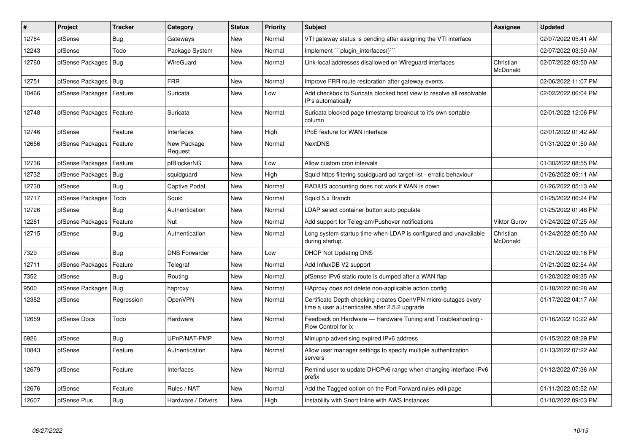| #     | Project                    | Tracker    | Category               | <b>Status</b> | <b>Priority</b> | <b>Subject</b>                                                                                                  | <b>Assignee</b>       | <b>Updated</b>      |
|-------|----------------------------|------------|------------------------|---------------|-----------------|-----------------------------------------------------------------------------------------------------------------|-----------------------|---------------------|
| 12764 | pfSense                    | <b>Bug</b> | Gateways               | New           | Normal          | VTI gateway status is pending after assigning the VTI interface                                                 |                       | 02/07/2022 05:41 AM |
| 12243 | pfSense                    | Todo       | Package System         | New           | Normal          | Implement "plugin_interfaces()"                                                                                 |                       | 02/07/2022 03:50 AM |
| 12760 | pfSense Packages   Bug     |            | WireGuard              | <b>New</b>    | Normal          | Link-local addresses disallowed on Wireguard interfaces                                                         | Christian<br>McDonald | 02/07/2022 03:50 AM |
| 12751 | pfSense Packages   Bug     |            | <b>FRR</b>             | New           | Normal          | Improve FRR route restoration after gateway events                                                              |                       | 02/06/2022 11:07 PM |
| 10466 | pfSense Packages           | Feature    | Suricata               | New           | Low             | Add checkbox to Suricata blocked host view to resolve all resolvable<br>IP's automatically                      |                       | 02/02/2022 06:04 PM |
| 12748 | pfSense Packages   Feature |            | Suricata               | <b>New</b>    | Normal          | Suricata blocked page timestamp breakout to it's own sortable<br>column                                         |                       | 02/01/2022 12:06 PM |
| 12746 | pfSense                    | Feature    | Interfaces             | <b>New</b>    | High            | IPoE feature for WAN interface                                                                                  |                       | 02/01/2022 01:42 AM |
| 12656 | pfSense Packages           | Feature    | New Package<br>Request | <b>New</b>    | Normal          | <b>NextDNS</b>                                                                                                  |                       | 01/31/2022 01:50 AM |
| 12736 | pfSense Packages           | Feature    | pfBlockerNG            | <b>New</b>    | Low             | Allow custom cron intervals                                                                                     |                       | 01/30/2022 08:55 PM |
| 12732 | pfSense Packages           | Bug        | squidguard             | New           | High            | Squid https filtering squidguard acl target list - erratic behaviour                                            |                       | 01/26/2022 09:11 AM |
| 12730 | pfSense                    | <b>Bug</b> | Captive Portal         | New           | Normal          | RADIUS accounting does not work if WAN is down                                                                  |                       | 01/26/2022 05:13 AM |
| 12717 | pfSense Packages           | Todo       | Squid                  | New           | Normal          | Squid 5.x Branch                                                                                                |                       | 01/25/2022 06:24 PM |
| 12726 | pfSense                    | <b>Bug</b> | Authentication         | New           | Normal          | LDAP select container button auto populate                                                                      |                       | 01/25/2022 01:48 PM |
| 12281 | pfSense Packages           | Feature    | Nut                    | New           | Normal          | Add support for Telegram/Pushover notifications                                                                 | Viktor Gurov          | 01/24/2022 07:25 AM |
| 12715 | pfSense                    | <b>Bug</b> | Authentication         | <b>New</b>    | Normal          | Long system startup time when LDAP is configured and unavailable<br>during startup.                             | Christian<br>McDonald | 01/24/2022 05:50 AM |
| 7329  | pfSense                    | <b>Bug</b> | <b>DNS Forwarder</b>   | New           | Low             | DHCP Not Updating DNS                                                                                           |                       | 01/21/2022 09:16 PM |
| 12711 | pfSense Packages           | Feature    | Telegraf               | New           | Normal          | Add InfluxDB V2 support                                                                                         |                       | 01/21/2022 02:54 AM |
| 7352  | pfSense                    | Bug        | Routing                | <b>New</b>    | Normal          | pfSense IPv6 static route is dumped after a WAN flap                                                            |                       | 01/20/2022 09:35 AM |
| 9500  | pfSense Packages           | Bug        | haproxy                | New           | Normal          | HAproxy does not delete non-applicable action config                                                            |                       | 01/18/2022 06:28 AM |
| 12382 | pfSense                    | Regression | OpenVPN                | New           | Normal          | Certificate Depth checking creates OpenVPN micro-outages every<br>time a user authenticates after 2.5.2 upgrade |                       | 01/17/2022 04:17 AM |
| 12659 | pfSense Docs               | Todo       | Hardware               | <b>New</b>    | Normal          | Feedback on Hardware - Hardware Tuning and Troubleshooting -<br>Flow Control for ix                             |                       | 01/16/2022 10:22 AM |
| 6926  | pfSense                    | Bug        | UPnP/NAT-PMP           | New           | Normal          | Miniupnp advertising expired IPv6 address                                                                       |                       | 01/15/2022 08:29 PM |
| 10843 | pfSense                    | Feature    | Authentication         | <b>New</b>    | Normal          | Allow user manager settings to specify multiple authentication<br>servers                                       |                       | 01/13/2022 07:22 AM |
| 12679 | pfSense                    | Feature    | Interfaces             | <b>New</b>    | Normal          | Remind user to update DHCPv6 range when changing interface IPv6<br>prefix                                       |                       | 01/12/2022 07:36 AM |
| 12676 | pfSense                    | Feature    | Rules / NAT            | New           | Normal          | Add the Tagged option on the Port Forward rules edit page                                                       |                       | 01/11/2022 05:52 AM |
| 12607 | pfSense Plus               | <b>Bug</b> | Hardware / Drivers     | <b>New</b>    | High            | Instability with Snort Inline with AWS Instances                                                                |                       | 01/10/2022 09:03 PM |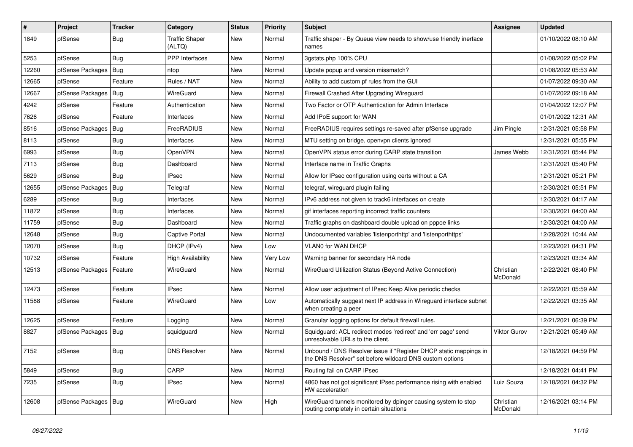| $\vert$ # | Project                    | <b>Tracker</b> | Category                        | <b>Status</b> | <b>Priority</b> | <b>Subject</b>                                                                                                                | <b>Assignee</b>       | <b>Updated</b>      |
|-----------|----------------------------|----------------|---------------------------------|---------------|-----------------|-------------------------------------------------------------------------------------------------------------------------------|-----------------------|---------------------|
| 1849      | pfSense                    | <b>Bug</b>     | <b>Traffic Shaper</b><br>(ALTQ) | New           | Normal          | Traffic shaper - By Queue view needs to show/use friendly inerface<br>names                                                   |                       | 01/10/2022 08:10 AM |
| 5253      | pfSense                    | Bug            | <b>PPP</b> Interfaces           | New           | Normal          | 3gstats.php 100% CPU                                                                                                          |                       | 01/08/2022 05:02 PM |
| 12260     | pfSense Packages   Bug     |                | ntop                            | New           | Normal          | Update popup and version missmatch?                                                                                           |                       | 01/08/2022 05:53 AM |
| 12665     | pfSense                    | Feature        | Rules / NAT                     | New           | Normal          | Ability to add custom pf rules from the GUI                                                                                   |                       | 01/07/2022 09:30 AM |
| 12667     | pfSense Packages   Bug     |                | WireGuard                       | New           | Normal          | Firewall Crashed After Upgrading Wireguard                                                                                    |                       | 01/07/2022 09:18 AM |
| 4242      | pfSense                    | Feature        | Authentication                  | New           | Normal          | Two Factor or OTP Authentication for Admin Interface                                                                          |                       | 01/04/2022 12:07 PM |
| 7626      | pfSense                    | Feature        | Interfaces                      | New           | Normal          | Add IPoE support for WAN                                                                                                      |                       | 01/01/2022 12:31 AM |
| 8516      | pfSense Packages   Bug     |                | FreeRADIUS                      | New           | Normal          | FreeRADIUS requires settings re-saved after pfSense upgrade                                                                   | Jim Pingle            | 12/31/2021 05:58 PM |
| 8113      | pfSense                    | <b>Bug</b>     | Interfaces                      | New           | Normal          | MTU setting on bridge, openvpn clients ignored                                                                                |                       | 12/31/2021 05:55 PM |
| 6993      | pfSense                    | <b>Bug</b>     | OpenVPN                         | New           | Normal          | OpenVPN status error during CARP state transition                                                                             | James Webb            | 12/31/2021 05:44 PM |
| 7113      | pfSense                    | <b>Bug</b>     | Dashboard                       | New           | Normal          | Interface name in Traffic Graphs                                                                                              |                       | 12/31/2021 05:40 PM |
| 5629      | pfSense                    | <b>Bug</b>     | <b>IPsec</b>                    | New           | Normal          | Allow for IPsec configuration using certs without a CA                                                                        |                       | 12/31/2021 05:21 PM |
| 12655     | pfSense Packages           | Bug            | Telegraf                        | New           | Normal          | telegraf, wireguard plugin failing                                                                                            |                       | 12/30/2021 05:51 PM |
| 6289      | pfSense                    | <b>Bug</b>     | Interfaces                      | New           | Normal          | IPv6 address not given to track6 interfaces on create                                                                         |                       | 12/30/2021 04:17 AM |
| 11872     | pfSense                    | <b>Bug</b>     | Interfaces                      | New           | Normal          | gif interfaces reporting incorrect traffic counters                                                                           |                       | 12/30/2021 04:00 AM |
| 11759     | pfSense                    | <b>Bug</b>     | Dashboard                       | New           | Normal          | Traffic graphs on dashboard double upload on pppoe links                                                                      |                       | 12/30/2021 04:00 AM |
| 12648     | pfSense                    | <b>Bug</b>     | <b>Captive Portal</b>           | <b>New</b>    | Normal          | Undocumented variables 'listenporthttp' and 'listenporthttps'                                                                 |                       | 12/28/2021 10:44 AM |
| 12070     | pfSense                    | <b>Bug</b>     | DHCP (IPv4)                     | New           | Low             | VLAN0 for WAN DHCP                                                                                                            |                       | 12/23/2021 04:31 PM |
| 10732     | pfSense                    | Feature        | <b>High Availability</b>        | New           | Very Low        | Warning banner for secondary HA node                                                                                          |                       | 12/23/2021 03:34 AM |
| 12513     | pfSense Packages   Feature |                | WireGuard                       | New           | Normal          | WireGuard Utilization Status (Beyond Active Connection)                                                                       | Christian<br>McDonald | 12/22/2021 08:40 PM |
| 12473     | pfSense                    | Feature        | <b>IPsec</b>                    | New           | Normal          | Allow user adjustment of IPsec Keep Alive periodic checks                                                                     |                       | 12/22/2021 05:59 AM |
| 11588     | pfSense                    | Feature        | WireGuard                       | New           | Low             | Automatically suggest next IP address in Wireguard interface subnet<br>when creating a peer                                   |                       | 12/22/2021 03:35 AM |
| 12625     | pfSense                    | Feature        | Logging                         | <b>New</b>    | Normal          | Granular logging options for default firewall rules.                                                                          |                       | 12/21/2021 06:39 PM |
| 8827      | pfSense Packages   Bug     |                | squidguard                      | New           | Normal          | Squidguard: ACL redirect modes 'redirect' and 'err page' send<br>unresolvable URLs to the client.                             | Viktor Gurov          | 12/21/2021 05:49 AM |
| 7152      | pfSense                    | <b>Bug</b>     | <b>DNS Resolver</b>             | New           | Normal          | Unbound / DNS Resolver issue if "Register DHCP static mappings in<br>the DNS Resolver" set before wildcard DNS custom options |                       | 12/18/2021 04:59 PM |
| 5849      | pfSense                    | <b>Bug</b>     | CARP                            | New           | Normal          | Routing fail on CARP IPsec                                                                                                    |                       | 12/18/2021 04:41 PM |
| 7235      | pfSense                    | <b>Bug</b>     | <b>IPsec</b>                    | New           | Normal          | 4860 has not got significant IPsec performance rising with enabled<br>HW acceleration                                         | Luiz Souza            | 12/18/2021 04:32 PM |
| 12608     | pfSense Packages   Bug     |                | WireGuard                       | New           | High            | WireGuard tunnels monitored by dpinger causing system to stop<br>routing completely in certain situations                     | Christian<br>McDonald | 12/16/2021 03:14 PM |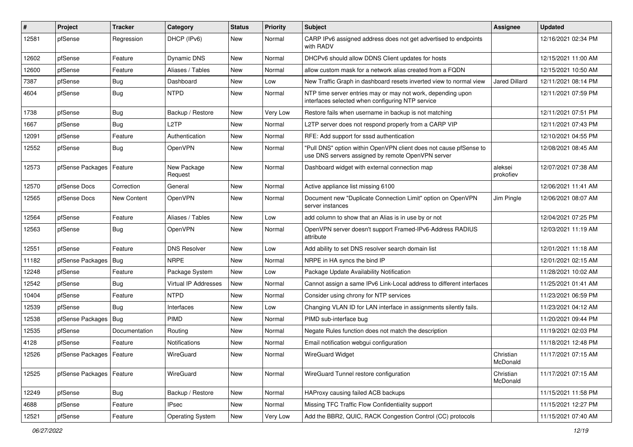| $\#$  | Project                    | <b>Tracker</b> | Category                    | <b>Status</b> | <b>Priority</b> | <b>Subject</b>                                                                                                         | <b>Assignee</b>       | <b>Updated</b>      |
|-------|----------------------------|----------------|-----------------------------|---------------|-----------------|------------------------------------------------------------------------------------------------------------------------|-----------------------|---------------------|
| 12581 | pfSense                    | Regression     | DHCP (IPv6)                 | New           | Normal          | CARP IPv6 assigned address does not get advertised to endpoints<br>with RADV                                           |                       | 12/16/2021 02:34 PM |
| 12602 | pfSense                    | Feature        | Dynamic DNS                 | New           | Normal          | DHCPv6 should allow DDNS Client updates for hosts                                                                      |                       | 12/15/2021 11:00 AM |
| 12600 | pfSense                    | Feature        | Aliases / Tables            | New           | Normal          | allow custom mask for a network alias created from a FQDN                                                              |                       | 12/15/2021 10:50 AM |
| 7387  | pfSense                    | <b>Bug</b>     | Dashboard                   | New           | Low             | New Traffic Graph in dashboard resets inverted view to normal view                                                     | <b>Jared Dillard</b>  | 12/11/2021 08:14 PM |
| 4604  | pfSense                    | <b>Bug</b>     | <b>NTPD</b>                 | New           | Normal          | NTP time server entries may or may not work, depending upon<br>interfaces selected when configuring NTP service        |                       | 12/11/2021 07:59 PM |
| 1738  | pfSense                    | Bug            | Backup / Restore            | New           | Very Low        | Restore fails when username in backup is not matching                                                                  |                       | 12/11/2021 07:51 PM |
| 1667  | pfSense                    | Bug            | L <sub>2</sub> TP           | New           | Normal          | L2TP server does not respond properly from a CARP VIP                                                                  |                       | 12/11/2021 07:43 PM |
| 12091 | pfSense                    | Feature        | Authentication              | New           | Normal          | RFE: Add support for sssd authentication                                                                               |                       | 12/10/2021 04:55 PM |
| 12552 | pfSense                    | <b>Bug</b>     | OpenVPN                     | New           | Normal          | 'Pull DNS" option within OpenVPN client does not cause pfSense to<br>use DNS servers assigned by remote OpenVPN server |                       | 12/08/2021 08:45 AM |
| 12573 | pfSense Packages   Feature |                | New Package<br>Request      | New           | Normal          | Dashboard widget with external connection map                                                                          | aleksei<br>prokofiev  | 12/07/2021 07:38 AM |
| 12570 | pfSense Docs               | Correction     | General                     | New           | Normal          | Active appliance list missing 6100                                                                                     |                       | 12/06/2021 11:41 AM |
| 12565 | pfSense Docs               | New Content    | OpenVPN                     | New           | Normal          | Document new "Duplicate Connection Limit" option on OpenVPN<br>server instances                                        | Jim Pingle            | 12/06/2021 08:07 AM |
| 12564 | pfSense                    | Feature        | Aliases / Tables            | New           | Low             | add column to show that an Alias is in use by or not                                                                   |                       | 12/04/2021 07:25 PM |
| 12563 | pfSense                    | <b>Bug</b>     | OpenVPN                     | New           | Normal          | OpenVPN server doesn't support Framed-IPv6-Address RADIUS<br>attribute                                                 |                       | 12/03/2021 11:19 AM |
| 12551 | pfSense                    | Feature        | <b>DNS Resolver</b>         | New           | Low             | Add ability to set DNS resolver search domain list                                                                     |                       | 12/01/2021 11:18 AM |
| 11182 | pfSense Packages           | Bug            | <b>NRPE</b>                 | New           | Normal          | NRPE in HA syncs the bind IP                                                                                           |                       | 12/01/2021 02:15 AM |
| 12248 | pfSense                    | Feature        | Package System              | New           | Low             | Package Update Availability Notification                                                                               |                       | 11/28/2021 10:02 AM |
| 12542 | pfSense                    | <b>Bug</b>     | <b>Virtual IP Addresses</b> | New           | Normal          | Cannot assign a same IPv6 Link-Local address to different interfaces                                                   |                       | 11/25/2021 01:41 AM |
| 10404 | pfSense                    | Feature        | <b>NTPD</b>                 | New           | Normal          | Consider using chrony for NTP services                                                                                 |                       | 11/23/2021 06:59 PM |
| 12539 | pfSense                    | Bug            | Interfaces                  | New           | Low             | Changing VLAN ID for LAN interface in assignments silently fails.                                                      |                       | 11/23/2021 04:12 AM |
| 12538 | pfSense Packages           | <b>Bug</b>     | PIMD                        | New           | Normal          | PIMD sub-interface bug                                                                                                 |                       | 11/20/2021 09:44 PM |
| 12535 | pfSense                    | Documentation  | Routing                     | New           | Normal          | Negate Rules function does not match the description                                                                   |                       | 11/19/2021 02:03 PM |
| 4128  | pfSense                    | Feature        | <b>Notifications</b>        | New           | Normal          | Email notification webgui configuration                                                                                |                       | 11/18/2021 12:48 PM |
| 12526 | pfSense Packages   Feature |                | WireGuard                   | New           | Normal          | <b>WireGuard Widget</b>                                                                                                | Christian<br>McDonald | 11/17/2021 07:15 AM |
| 12525 | pfSense Packages   Feature |                | WireGuard                   | New           | Normal          | WireGuard Tunnel restore configuration                                                                                 | Christian<br>McDonald | 11/17/2021 07:15 AM |
| 12249 | pfSense                    | Bug            | Backup / Restore            | New           | Normal          | HAProxy causing failed ACB backups                                                                                     |                       | 11/15/2021 11:58 PM |
| 4688  | pfSense                    | Feature        | <b>IPsec</b>                | New           | Normal          | Missing TFC Traffic Flow Confidentiality support                                                                       |                       | 11/15/2021 12:27 PM |
| 12521 | pfSense                    | Feature        | <b>Operating System</b>     | New           | Very Low        | Add the BBR2, QUIC, RACK Congestion Control (CC) protocols                                                             |                       | 11/15/2021 07:40 AM |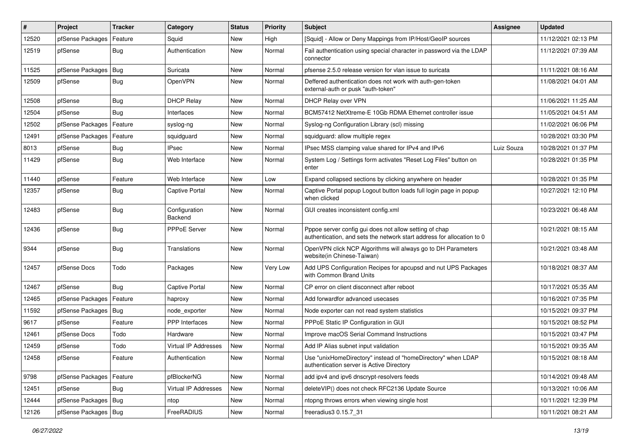| #     | Project                    | <b>Tracker</b> | Category                 | <b>Status</b> | <b>Priority</b> | <b>Subject</b>                                                                                                                   | <b>Assignee</b> | <b>Updated</b>      |
|-------|----------------------------|----------------|--------------------------|---------------|-----------------|----------------------------------------------------------------------------------------------------------------------------------|-----------------|---------------------|
| 12520 | pfSense Packages           | Feature        | Squid                    | New           | High            | [Squid] - Allow or Deny Mappings from IP/Host/GeoIP sources                                                                      |                 | 11/12/2021 02:13 PM |
| 12519 | pfSense                    | <b>Bug</b>     | Authentication           | New           | Normal          | Fail authentication using special character in password via the LDAP<br>connector                                                |                 | 11/12/2021 07:39 AM |
| 11525 | pfSense Packages   Bug     |                | Suricata                 | New           | Normal          | pfsense 2.5.0 release version for vlan issue to suricata                                                                         |                 | 11/11/2021 08:16 AM |
| 12509 | pfSense                    | Bug            | OpenVPN                  | New           | Normal          | Deffered authentication does not work with auth-gen-token<br>external-auth or pusk "auth-token"                                  |                 | 11/08/2021 04:01 AM |
| 12508 | pfSense                    | Bug            | <b>DHCP Relay</b>        | <b>New</b>    | Normal          | DHCP Relay over VPN                                                                                                              |                 | 11/06/2021 11:25 AM |
| 12504 | pfSense                    | Bug            | Interfaces               | <b>New</b>    | Normal          | BCM57412 NetXtreme-E 10Gb RDMA Ethernet controller issue                                                                         |                 | 11/05/2021 04:51 AM |
| 12502 | pfSense Packages   Feature |                | syslog-ng                | New           | Normal          | Syslog-ng Configuration Library (scl) missing                                                                                    |                 | 11/02/2021 06:06 PM |
| 12491 | pfSense Packages           | Feature        | squidguard               | New           | Normal          | squidguard: allow multiple regex                                                                                                 |                 | 10/28/2021 03:30 PM |
| 8013  | pfSense                    | Bug            | <b>IPsec</b>             | New           | Normal          | IPsec MSS clamping value shared for IPv4 and IPv6                                                                                | Luiz Souza      | 10/28/2021 01:37 PM |
| 11429 | pfSense                    | Bug            | Web Interface            | New           | Normal          | System Log / Settings form activates "Reset Log Files" button on<br>enter                                                        |                 | 10/28/2021 01:35 PM |
| 11440 | pfSense                    | Feature        | Web Interface            | New           | Low             | Expand collapsed sections by clicking anywhere on header                                                                         |                 | 10/28/2021 01:35 PM |
| 12357 | pfSense                    | <b>Bug</b>     | <b>Captive Portal</b>    | New           | Normal          | Captive Portal popup Logout button loads full login page in popup<br>when clicked                                                |                 | 10/27/2021 12:10 PM |
| 12483 | pfSense                    | <b>Bug</b>     | Configuration<br>Backend | <b>New</b>    | Normal          | GUI creates inconsistent config.xml                                                                                              |                 | 10/23/2021 06:48 AM |
| 12436 | pfSense                    | Bug            | PPPoE Server             | New           | Normal          | Pppoe server config gui does not allow setting of chap<br>authentication, and sets the network start address for allocation to 0 |                 | 10/21/2021 08:15 AM |
| 9344  | pfSense                    | Bug            | Translations             | <b>New</b>    | Normal          | OpenVPN click NCP Algorithms will always go to DH Parameters<br>website(in Chinese-Taiwan)                                       |                 | 10/21/2021 03:48 AM |
| 12457 | pfSense Docs               | Todo           | Packages                 | New           | Very Low        | Add UPS Configuration Recipes for apcupsd and nut UPS Packages<br>with Common Brand Units                                        |                 | 10/18/2021 08:37 AM |
| 12467 | pfSense                    | Bug            | <b>Captive Portal</b>    | New           | Normal          | CP error on client disconnect after reboot                                                                                       |                 | 10/17/2021 05:35 AM |
| 12465 | pfSense Packages   Feature |                | haproxy                  | New           | Normal          | Add forwardfor advanced usecases                                                                                                 |                 | 10/16/2021 07:35 PM |
| 11592 | pfSense Packages           | $ $ Bug        | node exporter            | New           | Normal          | Node exporter can not read system statistics                                                                                     |                 | 10/15/2021 09:37 PM |
| 9617  | pfSense                    | Feature        | <b>PPP</b> Interfaces    | New           | Normal          | PPPoE Static IP Configuration in GUI                                                                                             |                 | 10/15/2021 08:52 PM |
| 12461 | pfSense Docs               | Todo           | Hardware                 | <b>New</b>    | Normal          | Improve macOS Serial Command Instructions                                                                                        |                 | 10/15/2021 03:47 PM |
| 12459 | pfSense                    | Todo           | Virtual IP Addresses     | New           | Normal          | Add IP Alias subnet input validation                                                                                             |                 | 10/15/2021 09:35 AM |
| 12458 | pfSense                    | Feature        | Authentication           | New           | Normal          | Use "unixHomeDirectory" instead of "homeDirectory" when LDAP<br>authentication server is Active Directory                        |                 | 10/15/2021 08:18 AM |
| 9798  | pfSense Packages           | Feature        | pfBlockerNG              | New           | Normal          | add ipv4 and ipv6 dnscrypt-resolvers feeds                                                                                       |                 | 10/14/2021 09:48 AM |
| 12451 | pfSense                    | Bug            | Virtual IP Addresses     | New           | Normal          | deleteVIP() does not check RFC2136 Update Source                                                                                 |                 | 10/13/2021 10:06 AM |
| 12444 | pfSense Packages   Bug     |                | ntop                     | New           | Normal          | ntopng throws errors when viewing single host                                                                                    |                 | 10/11/2021 12:39 PM |
| 12126 | pfSense Packages   Bug     |                | FreeRADIUS               | New           | Normal          | freeradius3 0.15.7_31                                                                                                            |                 | 10/11/2021 08:21 AM |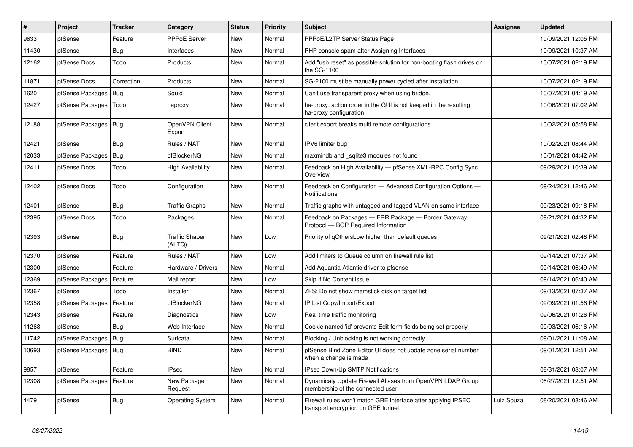| $\sharp$ | Project                    | Tracker    | Category                        | <b>Status</b> | <b>Priority</b> | <b>Subject</b>                                                                                      | Assignee   | <b>Updated</b>      |
|----------|----------------------------|------------|---------------------------------|---------------|-----------------|-----------------------------------------------------------------------------------------------------|------------|---------------------|
| 9633     | pfSense                    | Feature    | <b>PPPoE Server</b>             | New           | Normal          | PPPoE/L2TP Server Status Page                                                                       |            | 10/09/2021 12:05 PM |
| 11430    | pfSense                    | <b>Bug</b> | Interfaces                      | <b>New</b>    | Normal          | PHP console spam after Assigning Interfaces                                                         |            | 10/09/2021 10:37 AM |
| 12162    | pfSense Docs               | Todo       | Products                        | New           | Normal          | Add "usb reset" as possible solution for non-booting flash drives on<br>the SG-1100                 |            | 10/07/2021 02:19 PM |
| 11871    | pfSense Docs               | Correction | Products                        | New           | Normal          | SG-2100 must be manually power cycled after installation                                            |            | 10/07/2021 02:19 PM |
| 1620     | pfSense Packages   Bug     |            | Squid                           | New           | Normal          | Can't use transparent proxy when using bridge.                                                      |            | 10/07/2021 04:19 AM |
| 12427    | pfSense Packages   Todo    |            | haproxy                         | New           | Normal          | ha-proxy: action order in the GUI is not keeped in the resulting<br>ha-proxy configuration          |            | 10/06/2021 07:02 AM |
| 12188    | pfSense Packages   Bug     |            | OpenVPN Client<br>Export        | <b>New</b>    | Normal          | client export breaks multi remote configurations                                                    |            | 10/02/2021 05:58 PM |
| 12421    | pfSense                    | Bug        | Rules / NAT                     | New           | Normal          | IPV6 limiter bug                                                                                    |            | 10/02/2021 08:44 AM |
| 12033    | pfSense Packages           | <b>Bug</b> | pfBlockerNG                     | New           | Normal          | maxmindb and sqlite3 modules not found                                                              |            | 10/01/2021 04:42 AM |
| 12411    | pfSense Docs               | Todo       | High Availability               | New           | Normal          | Feedback on High Availability - pfSense XML-RPC Config Sync<br>Overview                             |            | 09/29/2021 10:39 AM |
| 12402    | pfSense Docs               | Todo       | Configuration                   | New           | Normal          | Feedback on Configuration - Advanced Configuration Options -<br><b>Notifications</b>                |            | 09/24/2021 12:46 AM |
| 12401    | pfSense                    | Bug        | <b>Traffic Graphs</b>           | New           | Normal          | Traffic graphs with untagged and tagged VLAN on same interface                                      |            | 09/23/2021 09:18 PM |
| 12395    | pfSense Docs               | Todo       | Packages                        | <b>New</b>    | Normal          | Feedback on Packages - FRR Package - Border Gateway<br>Protocol - BGP Required Information          |            | 09/21/2021 04:32 PM |
| 12393    | pfSense                    | <b>Bug</b> | <b>Traffic Shaper</b><br>(ALTQ) | New           | Low             | Priority of gOthersLow higher than default queues                                                   |            | 09/21/2021 02:48 PM |
| 12370    | pfSense                    | Feature    | Rules / NAT                     | New           | Low             | Add limiters to Queue column on firewall rule list                                                  |            | 09/14/2021 07:37 AM |
| 12300    | pfSense                    | Feature    | Hardware / Drivers              | New           | Normal          | Add Aquantia Atlantic driver to pfsense                                                             |            | 09/14/2021 06:49 AM |
| 12369    | pfSense Packages           | Feature    | Mail report                     | <b>New</b>    | Low             | Skip If No Content issue                                                                            |            | 09/14/2021 06:40 AM |
| 12367    | pfSense                    | Todo       | Installer                       | <b>New</b>    | Normal          | ZFS: Do not show memstick disk on target list                                                       |            | 09/13/2021 07:37 AM |
| 12358    | pfSense Packages           | Feature    | pfBlockerNG                     | New           | Normal          | IP List Copy/Import/Export                                                                          |            | 09/09/2021 01:56 PM |
| 12343    | pfSense                    | Feature    | Diagnostics                     | New           | Low             | Real time traffic monitoring                                                                        |            | 09/06/2021 01:26 PM |
| 11268    | pfSense                    | Bug        | Web Interface                   | <b>New</b>    | Normal          | Cookie named 'id' prevents Edit form fields being set properly                                      |            | 09/03/2021 06:16 AM |
| 11742    | pfSense Packages           | <b>Bug</b> | Suricata                        | New           | Normal          | Blocking / Unblocking is not working correctly.                                                     |            | 09/01/2021 11:08 AM |
| 10693    | pfSense Packages   Bug     |            | <b>BIND</b>                     | New           | Normal          | pfSense Bind Zone Editor UI does not update zone serial number<br>when a change is made             |            | 09/01/2021 12:51 AM |
| 9857     | pfSense                    | Feature    | <b>IPsec</b>                    | New           | Normal          | IPsec Down/Up SMTP Notifications                                                                    |            | 08/31/2021 08:07 AM |
| 12308    | pfSense Packages   Feature |            | New Package<br>Request          | <b>New</b>    | Normal          | Dynamicaly Update Firewall Aliases from OpenVPN LDAP Group<br>membership of the connected user      |            | 08/27/2021 12:51 AM |
| 4479     | pfSense                    | <b>Bug</b> | <b>Operating System</b>         | New           | Normal          | Firewall rules won't match GRE interface after applying IPSEC<br>transport encryption on GRE tunnel | Luiz Souza | 08/20/2021 08:46 AM |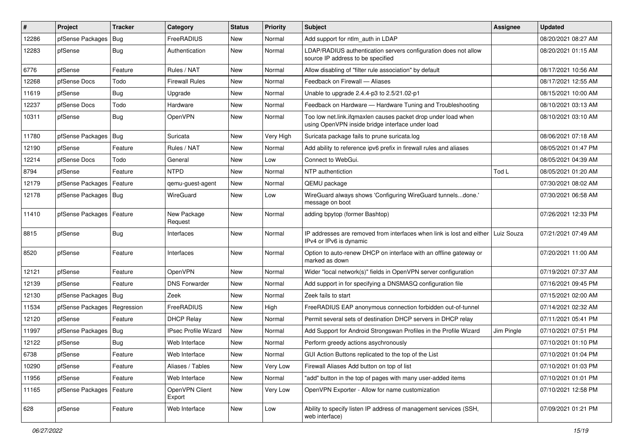| $\vert$ # | Project                | <b>Tracker</b> | Category                    | <b>Status</b> | <b>Priority</b> | <b>Subject</b>                                                                                                    | <b>Assignee</b> | <b>Updated</b>      |
|-----------|------------------------|----------------|-----------------------------|---------------|-----------------|-------------------------------------------------------------------------------------------------------------------|-----------------|---------------------|
| 12286     | pfSense Packages       | <b>Bug</b>     | FreeRADIUS                  | New           | Normal          | Add support for ntlm auth in LDAP                                                                                 |                 | 08/20/2021 08:27 AM |
| 12283     | pfSense                | Bug            | Authentication              | New           | Normal          | LDAP/RADIUS authentication servers configuration does not allow<br>source IP address to be specified              |                 | 08/20/2021 01:15 AM |
| 6776      | pfSense                | Feature        | Rules / NAT                 | New           | Normal          | Allow disabling of "filter rule association" by default                                                           |                 | 08/17/2021 10:56 AM |
| 12268     | pfSense Docs           | Todo           | <b>Firewall Rules</b>       | New           | Normal          | Feedback on Firewall - Aliases                                                                                    |                 | 08/17/2021 12:55 AM |
| 11619     | pfSense                | <b>Bug</b>     | Upgrade                     | New           | Normal          | Unable to upgrade 2.4.4-p3 to 2.5/21.02-p1                                                                        |                 | 08/15/2021 10:00 AM |
| 12237     | pfSense Docs           | Todo           | Hardware                    | New           | Normal          | Feedback on Hardware - Hardware Tuning and Troubleshooting                                                        |                 | 08/10/2021 03:13 AM |
| 10311     | pfSense                | <b>Bug</b>     | OpenVPN                     | New           | Normal          | Too low net.link.ifqmaxlen causes packet drop under load when<br>using OpenVPN inside bridge interface under load |                 | 08/10/2021 03:10 AM |
| 11780     | pfSense Packages       | Bug            | Suricata                    | New           | Very High       | Suricata package fails to prune suricata.log                                                                      |                 | 08/06/2021 07:18 AM |
| 12190     | pfSense                | Feature        | Rules / NAT                 | New           | Normal          | Add ability to reference ipv6 prefix in firewall rules and aliases                                                |                 | 08/05/2021 01:47 PM |
| 12214     | pfSense Docs           | Todo           | General                     | New           | Low             | Connect to WebGui.                                                                                                |                 | 08/05/2021 04:39 AM |
| 8794      | pfSense                | Feature        | <b>NTPD</b>                 | <b>New</b>    | Normal          | NTP authentiction                                                                                                 | Tod L           | 08/05/2021 01:20 AM |
| 12179     | pfSense Packages       | Feature        | qemu-guest-agent            | New           | Normal          | QEMU package                                                                                                      |                 | 07/30/2021 08:02 AM |
| 12178     | pfSense Packages   Bug |                | WireGuard                   | New           | Low             | WireGuard always shows 'Configuring WireGuard tunnelsdone.'<br>message on boot                                    |                 | 07/30/2021 06:58 AM |
| 11410     | pfSense Packages       | Feature        | New Package<br>Request      | New           | Normal          | adding bpytop (former Bashtop)                                                                                    |                 | 07/26/2021 12:33 PM |
| 8815      | pfSense                | <b>Bug</b>     | Interfaces                  | New           | Normal          | IP addresses are removed from interfaces when link is lost and either<br>IPv4 or IPv6 is dynamic                  | Luiz Souza      | 07/21/2021 07:49 AM |
| 8520      | pfSense                | Feature        | Interfaces                  | New           | Normal          | Option to auto-renew DHCP on interface with an offline gateway or<br>marked as down                               |                 | 07/20/2021 11:00 AM |
| 12121     | pfSense                | Feature        | OpenVPN                     | New           | Normal          | Wider "local network(s)" fields in OpenVPN server configuration                                                   |                 | 07/19/2021 07:37 AM |
| 12139     | pfSense                | Feature        | <b>DNS Forwarder</b>        | <b>New</b>    | Normal          | Add support in for specifying a DNSMASQ configuration file                                                        |                 | 07/16/2021 09:45 PM |
| 12130     | pfSense Packages       | Bug            | Zeek                        | New           | Normal          | Zeek fails to start                                                                                               |                 | 07/15/2021 02:00 AM |
| 11534     | pfSense Packages       | Regression     | FreeRADIUS                  | New           | High            | FreeRADIUS EAP anonymous connection forbidden out-of-tunnel                                                       |                 | 07/14/2021 02:32 AM |
| 12120     | pfSense                | Feature        | <b>DHCP Relay</b>           | New           | Normal          | Permit several sets of destination DHCP servers in DHCP relay                                                     |                 | 07/11/2021 05:41 PM |
| 11997     | pfSense Packages       | Bug            | <b>IPsec Profile Wizard</b> | New           | Normal          | Add Support for Android Strongswan Profiles in the Profile Wizard                                                 | Jim Pingle      | 07/10/2021 07:51 PM |
| 12122     | pfSense                | <b>Bug</b>     | Web Interface               | New           | Normal          | Perform greedy actions asychronously                                                                              |                 | 07/10/2021 01:10 PM |
| 6738      | pfSense                | Feature        | Web Interface               | New           | Normal          | GUI Action Buttons replicated to the top of the List                                                              |                 | 07/10/2021 01:04 PM |
| 10290     | pfSense                | Feature        | Aliases / Tables            | New           | Very Low        | Firewall Aliases Add button on top of list                                                                        |                 | 07/10/2021 01:03 PM |
| 11956     | pfSense                | Feature        | Web Interface               | New           | Normal          | "add" button in the top of pages with many user-added items                                                       |                 | 07/10/2021 01:01 PM |
| 11165     | pfSense Packages       | Feature        | OpenVPN Client<br>Export    | New           | Very Low        | OpenVPN Exporter - Allow for name customization                                                                   |                 | 07/10/2021 12:58 PM |
| 628       | pfSense                | Feature        | Web Interface               | New           | Low             | Ability to specify listen IP address of management services (SSH,<br>web interface)                               |                 | 07/09/2021 01:21 PM |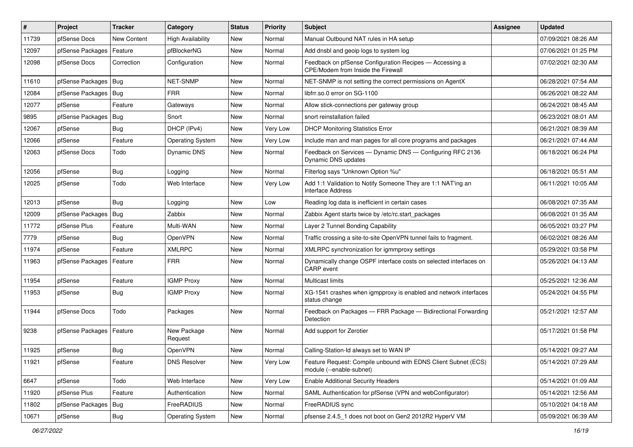| $\vert$ # | Project          | <b>Tracker</b> | Category                 | <b>Status</b> | <b>Priority</b> | <b>Subject</b>                                                                                | <b>Assignee</b> | <b>Updated</b>      |
|-----------|------------------|----------------|--------------------------|---------------|-----------------|-----------------------------------------------------------------------------------------------|-----------------|---------------------|
| 11739     | pfSense Docs     | New Content    | <b>High Availability</b> | New           | Normal          | Manual Outbound NAT rules in HA setup                                                         |                 | 07/09/2021 08:26 AM |
| 12097     | pfSense Packages | Feature        | pfBlockerNG              | <b>New</b>    | Normal          | Add dnsbl and geoip logs to system log                                                        |                 | 07/06/2021 01:25 PM |
| 12098     | pfSense Docs     | Correction     | Configuration            | New           | Normal          | Feedback on pfSense Configuration Recipes - Accessing a<br>CPE/Modem from Inside the Firewall |                 | 07/02/2021 02:30 AM |
| 11610     | pfSense Packages | Bug            | NET-SNMP                 | New           | Normal          | NET-SNMP is not setting the correct permissions on AgentX                                     |                 | 06/28/2021 07:54 AM |
| 12084     | pfSense Packages | <b>Bug</b>     | <b>FRR</b>               | New           | Normal          | libfrr.so.0 error on SG-1100                                                                  |                 | 06/26/2021 08:22 AM |
| 12077     | pfSense          | Feature        | Gateways                 | New           | Normal          | Allow stick-connections per gateway group                                                     |                 | 06/24/2021 08:45 AM |
| 9895      | pfSense Packages | <b>Bug</b>     | Snort                    | New           | Normal          | snort reinstallation failed                                                                   |                 | 06/23/2021 08:01 AM |
| 12067     | pfSense          | <b>Bug</b>     | DHCP (IPv4)              | New           | Very Low        | <b>DHCP Monitoring Statistics Error</b>                                                       |                 | 06/21/2021 08:39 AM |
| 12066     | pfSense          | Feature        | <b>Operating System</b>  | New           | Very Low        | Include man and man pages for all core programs and packages                                  |                 | 06/21/2021 07:44 AM |
| 12063     | pfSense Docs     | Todo           | <b>Dynamic DNS</b>       | New           | Normal          | Feedback on Services - Dynamic DNS - Configuring RFC 2136<br>Dynamic DNS updates              |                 | 06/18/2021 06:24 PM |
| 12056     | pfSense          | Bug            | Logging                  | New           | Normal          | Filterlog says "Unknown Option %u"                                                            |                 | 06/18/2021 05:51 AM |
| 12025     | pfSense          | Todo           | Web Interface            | New           | Very Low        | Add 1:1 Validation to Notify Someone They are 1:1 NAT'ing an<br><b>Interface Address</b>      |                 | 06/11/2021 10:05 AM |
| 12013     | pfSense          | Bug            | Logging                  | New           | Low             | Reading log data is inefficient in certain cases                                              |                 | 06/08/2021 07:35 AM |
| 12009     | pfSense Packages | Bug            | Zabbix                   | New           | Normal          | Zabbix Agent starts twice by /etc/rc.start packages                                           |                 | 06/08/2021 01:35 AM |
| 11772     | pfSense Plus     | Feature        | Multi-WAN                | New           | Normal          | Layer 2 Tunnel Bonding Capability                                                             |                 | 06/05/2021 03:27 PM |
| 7779      | pfSense          | Bug            | OpenVPN                  | New           | Normal          | Traffic crossing a site-to-site OpenVPN tunnel fails to fragment.                             |                 | 06/02/2021 08:26 AM |
| 11974     | pfSense          | Feature        | <b>XMLRPC</b>            | New           | Normal          | XMLRPC synchronization for igmmproxy settings                                                 |                 | 05/29/2021 03:58 PM |
| 11963     | pfSense Packages | Feature        | <b>FRR</b>               | New           | Normal          | Dynamically change OSPF interface costs on selected interfaces on<br>CARP event               |                 | 05/26/2021 04:13 AM |
| 11954     | pfSense          | Feature        | <b>IGMP Proxy</b>        | New           | Normal          | Multicast limits                                                                              |                 | 05/25/2021 12:36 AM |
| 11953     | pfSense          | <b>Bug</b>     | <b>IGMP Proxy</b>        | New           | Normal          | XG-1541 crashes when igmpproxy is enabled and network interfaces<br>status change             |                 | 05/24/2021 04:55 PM |
| 11944     | pfSense Docs     | Todo           | Packages                 | New           | Normal          | Feedback on Packages - FRR Package - Bidirectional Forwarding<br>Detection                    |                 | 05/21/2021 12:57 AM |
| 9238      | pfSense Packages | Feature        | New Package<br>Request   | New           | Normal          | Add support for Zerotier                                                                      |                 | 05/17/2021 01:58 PM |
| 11925     | pfSense          | <b>Bug</b>     | OpenVPN                  | New           | Normal          | Calling-Station-Id always set to WAN IP                                                       |                 | 05/14/2021 09:27 AM |
| 11921     | pfSense          | Feature        | <b>DNS Resolver</b>      | New           | Very Low        | Feature Request: Compile unbound with EDNS Client Subnet (ECS)<br>module (--enable-subnet)    |                 | 05/14/2021 07:29 AM |
| 6647      | pfSense          | Todo           | Web Interface            | New           | Very Low        | <b>Enable Additional Security Headers</b>                                                     |                 | 05/14/2021 01:09 AM |
| 11920     | pfSense Plus     | Feature        | Authentication           | New           | Normal          | SAML Authentication for pfSense (VPN and webConfigurator)                                     |                 | 05/14/2021 12:56 AM |
| 11802     | pfSense Packages | Bug            | FreeRADIUS               | New           | Normal          | FreeRADIUS sync                                                                               |                 | 05/10/2021 04:18 AM |
| 10671     | pfSense          | Bug            | <b>Operating System</b>  | New           | Normal          | pfsense 2.4.5_1 does not boot on Gen2 2012R2 HyperV VM                                        |                 | 05/09/2021 06:39 AM |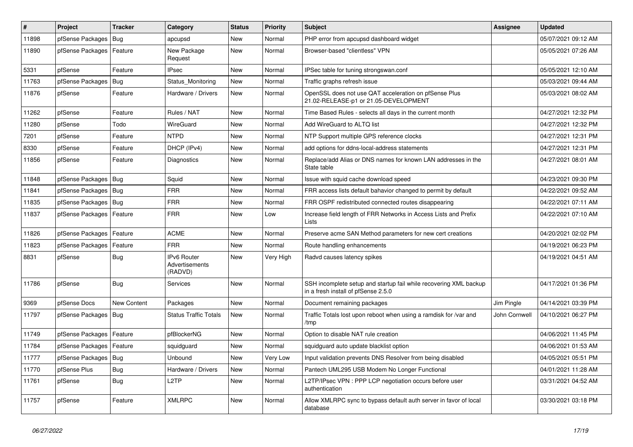| $\sharp$ | <b>Project</b>   | <b>Tracker</b> | Category                                 | <b>Status</b> | Priority  | <b>Subject</b>                                                                                           | Assignee      | <b>Updated</b>      |
|----------|------------------|----------------|------------------------------------------|---------------|-----------|----------------------------------------------------------------------------------------------------------|---------------|---------------------|
| 11898    | pfSense Packages | <b>Bug</b>     | apcupsd                                  | New           | Normal    | PHP error from apcupsd dashboard widget                                                                  |               | 05/07/2021 09:12 AM |
| 11890    | pfSense Packages | Feature        | New Package<br>Request                   | New           | Normal    | Browser-based "clientless" VPN                                                                           |               | 05/05/2021 07:26 AM |
| 5331     | pfSense          | Feature        | <b>IPsec</b>                             | New           | Normal    | IPSec table for tuning strongswan.conf                                                                   |               | 05/05/2021 12:10 AM |
| 11763    | pfSense Packages | Bug            | Status Monitoring                        | New           | Normal    | Traffic graphs refresh issue                                                                             |               | 05/03/2021 09:44 AM |
| 11876    | pfSense          | Feature        | Hardware / Drivers                       | New           | Normal    | OpenSSL does not use QAT acceleration on pfSense Plus<br>21.02-RELEASE-p1 or 21.05-DEVELOPMENT           |               | 05/03/2021 08:02 AM |
| 11262    | pfSense          | Feature        | Rules / NAT                              | New           | Normal    | Time Based Rules - selects all days in the current month                                                 |               | 04/27/2021 12:32 PM |
| 11280    | pfSense          | Todo           | WireGuard                                | New           | Normal    | Add WireGuard to ALTQ list                                                                               |               | 04/27/2021 12:32 PM |
| 7201     | pfSense          | Feature        | <b>NTPD</b>                              | New           | Normal    | NTP Support multiple GPS reference clocks                                                                |               | 04/27/2021 12:31 PM |
| 8330     | pfSense          | Feature        | DHCP (IPv4)                              | New           | Normal    | add options for ddns-local-address statements                                                            |               | 04/27/2021 12:31 PM |
| 11856    | pfSense          | Feature        | Diagnostics                              | New           | Normal    | Replace/add Alias or DNS names for known LAN addresses in the<br>State table                             |               | 04/27/2021 08:01 AM |
| 11848    | pfSense Packages | <b>Bug</b>     | Squid                                    | <b>New</b>    | Normal    | Issue with squid cache download speed                                                                    |               | 04/23/2021 09:30 PM |
| 11841    | pfSense Packages | Bug            | <b>FRR</b>                               | New           | Normal    | FRR access lists default bahavior changed to permit by default                                           |               | 04/22/2021 09:52 AM |
| 11835    | pfSense Packages | <b>Bug</b>     | <b>FRR</b>                               | New           | Normal    | FRR OSPF redistributed connected routes disappearing                                                     |               | 04/22/2021 07:11 AM |
| 11837    | pfSense Packages | Feature        | <b>FRR</b>                               | New           | Low       | Increase field length of FRR Networks in Access Lists and Prefix<br>Lists                                |               | 04/22/2021 07:10 AM |
| 11826    | pfSense Packages | Feature        | <b>ACME</b>                              | New           | Normal    | Preserve acme SAN Method parameters for new cert creations                                               |               | 04/20/2021 02:02 PM |
| 11823    | pfSense Packages | Feature        | <b>FRR</b>                               | New           | Normal    | Route handling enhancements                                                                              |               | 04/19/2021 06:23 PM |
| 8831     | pfSense          | Bug            | IPv6 Router<br>Advertisements<br>(RADVD) | New           | Very High | Radvd causes latency spikes                                                                              |               | 04/19/2021 04:51 AM |
| 11786    | pfSense          | <b>Bug</b>     | Services                                 | <b>New</b>    | Normal    | SSH incomplete setup and startup fail while recovering XML backup<br>in a fresh install of pfSense 2.5.0 |               | 04/17/2021 01:36 PM |
| 9369     | pfSense Docs     | New Content    | Packages                                 | New           | Normal    | Document remaining packages                                                                              | Jim Pingle    | 04/14/2021 03:39 PM |
| 11797    | pfSense Packages | <b>Bug</b>     | <b>Status Traffic Totals</b>             | New           | Normal    | Traffic Totals lost upon reboot when using a ramdisk for /var and<br>/tmp                                | John Cornwell | 04/10/2021 06:27 PM |
| 11749    | pfSense Packages | Feature        | pfBlockerNG                              | New           | Normal    | Option to disable NAT rule creation                                                                      |               | 04/06/2021 11:45 PM |
| 11784    | pfSense Packages | Feature        | squidguard                               | New           | Normal    | squidguard auto update blacklist option                                                                  |               | 04/06/2021 01:53 AM |
| 11777    | pfSense Packages | <b>Bug</b>     | <b>Unbound</b>                           | New           | Very Low  | Input validation prevents DNS Resolver from being disabled                                               |               | 04/05/2021 05:51 PM |
| 11770    | pfSense Plus     | Bug            | Hardware / Drivers                       | New           | Normal    | Pantech UML295 USB Modem No Longer Functional                                                            |               | 04/01/2021 11:28 AM |
| 11761    | pfSense          | <b>Bug</b>     | L <sub>2</sub> TP                        | New           | Normal    | L2TP/IPsec VPN: PPP LCP negotiation occurs before user<br>authentication                                 |               | 03/31/2021 04:52 AM |
| 11757    | pfSense          | Feature        | <b>XMLRPC</b>                            | <b>New</b>    | Normal    | Allow XMLRPC sync to bypass default auth server in favor of local<br>database                            |               | 03/30/2021 03:18 PM |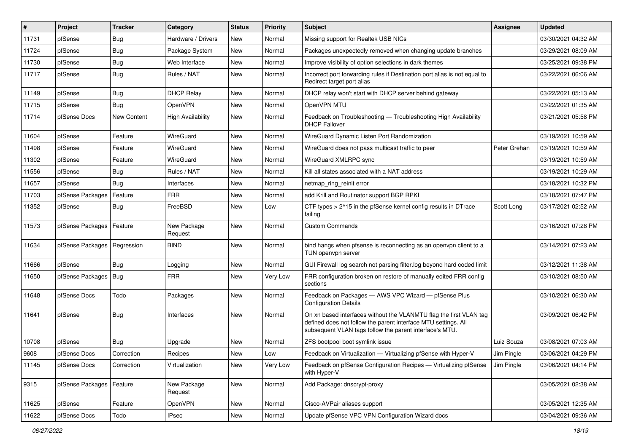| $\vert$ # | Project                       | <b>Tracker</b> | Category                 | <b>Status</b> | <b>Priority</b> | <b>Subject</b>                                                                                                                                                                                  | <b>Assignee</b> | <b>Updated</b>      |
|-----------|-------------------------------|----------------|--------------------------|---------------|-----------------|-------------------------------------------------------------------------------------------------------------------------------------------------------------------------------------------------|-----------------|---------------------|
| 11731     | pfSense                       | <b>Bug</b>     | Hardware / Drivers       | New           | Normal          | Missing support for Realtek USB NICs                                                                                                                                                            |                 | 03/30/2021 04:32 AM |
| 11724     | pfSense                       | Bug            | Package System           | <b>New</b>    | Normal          | Packages unexpectedly removed when changing update branches                                                                                                                                     |                 | 03/29/2021 08:09 AM |
| 11730     | pfSense                       | Bug            | Web Interface            | New           | Normal          | Improve visibility of option selections in dark themes                                                                                                                                          |                 | 03/25/2021 09:38 PM |
| 11717     | pfSense                       | <b>Bug</b>     | Rules / NAT              | New           | Normal          | Incorrect port forwarding rules if Destination port alias is not equal to<br>Redirect target port alias                                                                                         |                 | 03/22/2021 06:06 AM |
| 11149     | pfSense                       | Bug            | <b>DHCP Relay</b>        | New           | Normal          | DHCP relay won't start with DHCP server behind gateway                                                                                                                                          |                 | 03/22/2021 05:13 AM |
| 11715     | pfSense                       | <b>Bug</b>     | OpenVPN                  | New           | Normal          | OpenVPN MTU                                                                                                                                                                                     |                 | 03/22/2021 01:35 AM |
| 11714     | pfSense Docs                  | New Content    | <b>High Availability</b> | <b>New</b>    | Normal          | Feedback on Troubleshooting - Troubleshooting High Availability<br><b>DHCP Failover</b>                                                                                                         |                 | 03/21/2021 05:58 PM |
| 11604     | pfSense                       | Feature        | WireGuard                | <b>New</b>    | Normal          | WireGuard Dynamic Listen Port Randomization                                                                                                                                                     |                 | 03/19/2021 10:59 AM |
| 11498     | pfSense                       | Feature        | WireGuard                | New           | Normal          | WireGuard does not pass multicast traffic to peer                                                                                                                                               | Peter Grehan    | 03/19/2021 10:59 AM |
| 11302     | pfSense                       | Feature        | WireGuard                | New           | Normal          | WireGuard XMLRPC sync                                                                                                                                                                           |                 | 03/19/2021 10:59 AM |
| 11556     | pfSense                       | Bug            | Rules / NAT              | New           | Normal          | Kill all states associated with a NAT address                                                                                                                                                   |                 | 03/19/2021 10:29 AM |
| 11657     | pfSense                       | Bug            | Interfaces               | New           | Normal          | netmap_ring_reinit error                                                                                                                                                                        |                 | 03/18/2021 10:32 PM |
| 11703     | pfSense Packages              | Feature        | <b>FRR</b>               | New           | Normal          | add Krill and Routinator support BGP RPKI                                                                                                                                                       |                 | 03/18/2021 07:47 PM |
| 11352     | pfSense                       | Bug            | FreeBSD                  | New           | Low             | CTF types > 2^15 in the pfSense kernel config results in DTrace<br>failing                                                                                                                      | Scott Long      | 03/17/2021 02:52 AM |
| 11573     | pfSense Packages              | Feature        | New Package<br>Request   | New           | Normal          | <b>Custom Commands</b>                                                                                                                                                                          |                 | 03/16/2021 07:28 PM |
| 11634     | pfSense Packages   Regression |                | <b>BIND</b>              | New           | Normal          | bind hangs when pfsense is reconnecting as an openvpn client to a<br>TUN openvpn server                                                                                                         |                 | 03/14/2021 07:23 AM |
| 11666     | pfSense                       | Bug            | Logging                  | New           | Normal          | GUI Firewall log search not parsing filter.log beyond hard coded limit                                                                                                                          |                 | 03/12/2021 11:38 AM |
| 11650     | pfSense Packages   Bug        |                | <b>FRR</b>               | New           | Very Low        | FRR configuration broken on restore of manually edited FRR config<br>sections                                                                                                                   |                 | 03/10/2021 08:50 AM |
| 11648     | pfSense Docs                  | Todo           | Packages                 | New           | Normal          | Feedback on Packages - AWS VPC Wizard - pfSense Plus<br><b>Configuration Details</b>                                                                                                            |                 | 03/10/2021 06:30 AM |
| 11641     | pfSense                       | Bug            | Interfaces               | New           | Normal          | On xn based interfaces without the VLANMTU flag the first VLAN tag<br>defined does not follow the parent interface MTU settings. All<br>subsequent VLAN tags follow the parent interface's MTU. |                 | 03/09/2021 06:42 PM |
| 10708     | pfSense                       | Bug            | Upgrade                  | New           | Normal          | ZFS bootpool boot symlink issue                                                                                                                                                                 | Luiz Souza      | 03/08/2021 07:03 AM |
| 9608      | pfSense Docs                  | Correction     | Recipes                  | New           | Low             | Feedback on Virtualization - Virtualizing pfSense with Hyper-V                                                                                                                                  | Jim Pingle      | 03/06/2021 04:29 PM |
| 11145     | pfSense Docs                  | Correction     | Virtualization           | New           | Very Low        | Feedback on pfSense Configuration Recipes - Virtualizing pfSense<br>with Hyper-V                                                                                                                | Jim Pingle      | 03/06/2021 04:14 PM |
| 9315      | pfSense Packages   Feature    |                | New Package<br>Request   | New           | Normal          | Add Package: dnscrypt-proxy                                                                                                                                                                     |                 | 03/05/2021 02:38 AM |
| 11625     | pfSense                       | Feature        | OpenVPN                  | New           | Normal          | Cisco-AVPair aliases support                                                                                                                                                                    |                 | 03/05/2021 12:35 AM |
| 11622     | pfSense Docs                  | Todo           | <b>IPsec</b>             | New           | Normal          | Update pfSense VPC VPN Configuration Wizard docs                                                                                                                                                |                 | 03/04/2021 09:36 AM |